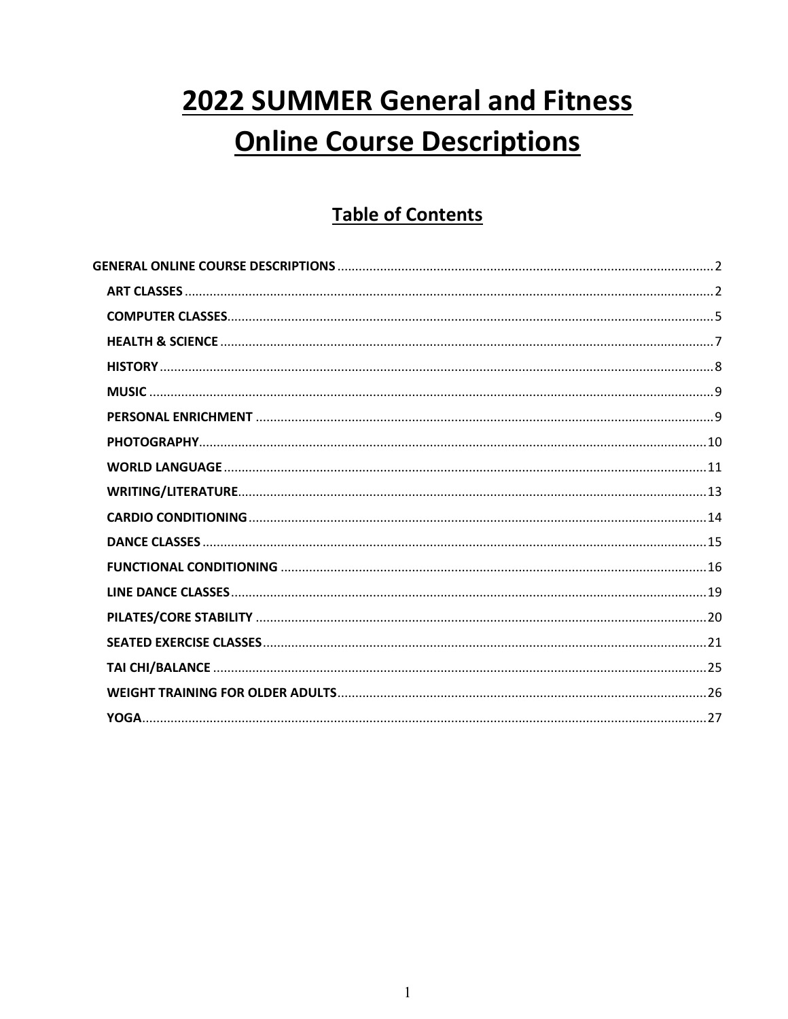# **2022 SUMMER General and Fitness Online Course Descriptions**

# **Table of Contents**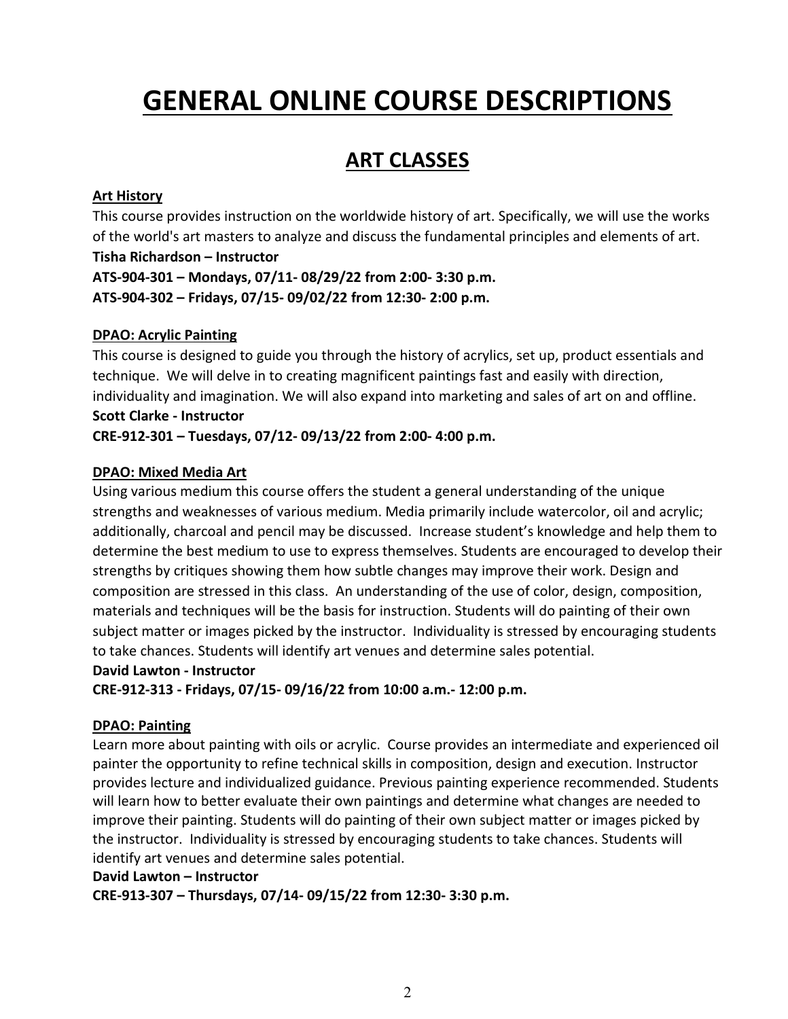# <span id="page-1-0"></span>**GENERAL ONLINE COURSE DESCRIPTIONS**

# **ART CLASSES**

# <span id="page-1-1"></span>**Art History**

This course provides instruction on the worldwide history of art. Specifically, we will use the works of the world's art masters to analyze and discuss the fundamental principles and elements of art. **Tisha Richardson – Instructor ATS-904-301 – Mondays, 07/11- 08/29/22 from 2:00- 3:30 p.m. ATS-904-302 – Fridays, 07/15- 09/02/22 from 12:30- 2:00 p.m.**

# **DPAO: Acrylic Painting**

This course is designed to guide you through the history of acrylics, set up, product essentials and technique. We will delve in to creating magnificent paintings fast and easily with direction, individuality and imagination. We will also expand into marketing and sales of art on and offline. **Scott Clarke - Instructor**

**CRE-912-301 – Tuesdays, 07/12- 09/13/22 from 2:00- 4:00 p.m.**

# **DPAO: Mixed Media Art**

Using various medium this course offers the student a general understanding of the unique strengths and weaknesses of various medium. Media primarily include watercolor, oil and acrylic; additionally, charcoal and pencil may be discussed. Increase student's knowledge and help them to determine the best medium to use to express themselves. Students are encouraged to develop their strengths by critiques showing them how subtle changes may improve their work. Design and composition are stressed in this class. An understanding of the use of color, design, composition, materials and techniques will be the basis for instruction. Students will do painting of their own subject matter or images picked by the instructor. Individuality is stressed by encouraging students to take chances. Students will identify art venues and determine sales potential.

#### **David Lawton - Instructor**

**CRE-912-313 - Fridays, 07/15- 09/16/22 from 10:00 a.m.- 12:00 p.m.** 

#### **DPAO: Painting**

Learn more about painting with oils or acrylic. Course provides an intermediate and experienced oil painter the opportunity to refine technical skills in composition, design and execution. Instructor provides lecture and individualized guidance. Previous painting experience recommended. Students will learn how to better evaluate their own paintings and determine what changes are needed to improve their painting. Students will do painting of their own subject matter or images picked by the instructor. Individuality is stressed by encouraging students to take chances. Students will identify art venues and determine sales potential.

#### **David Lawton – Instructor**

**CRE-913-307 – Thursdays, 07/14- 09/15/22 from 12:30- 3:30 p.m.**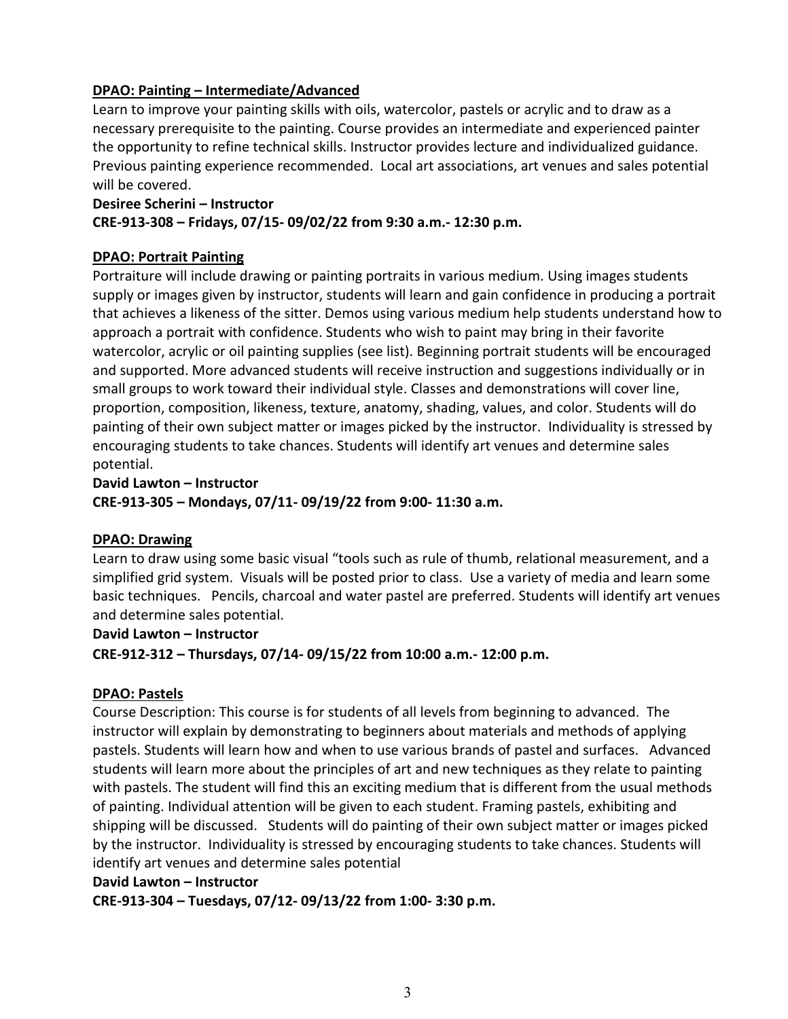# **DPAO: Painting – Intermediate/Advanced**

Learn to improve your painting skills with oils, watercolor, pastels or acrylic and to draw as a necessary prerequisite to the painting. Course provides an intermediate and experienced painter the opportunity to refine technical skills. Instructor provides lecture and individualized guidance. Previous painting experience recommended. Local art associations, art venues and sales potential will be covered.

#### **Desiree Scherini – Instructor CRE-913-308 – Fridays, 07/15- 09/02/22 from 9:30 a.m.- 12:30 p.m.**

# **DPAO: Portrait Painting**

Portraiture will include drawing or painting portraits in various medium. Using images students supply or images given by instructor, students will learn and gain confidence in producing a portrait that achieves a likeness of the sitter. Demos using various medium help students understand how to approach a portrait with confidence. Students who wish to paint may bring in their favorite watercolor, acrylic or oil painting supplies (see list). Beginning portrait students will be encouraged and supported. More advanced students will receive instruction and suggestions individually or in small groups to work toward their individual style. Classes and demonstrations will cover line, proportion, composition, likeness, texture, anatomy, shading, values, and color. Students will do painting of their own subject matter or images picked by the instructor. Individuality is stressed by encouraging students to take chances. Students will identify art venues and determine sales potential.

**David Lawton – Instructor CRE-913-305 – Mondays, 07/11- 09/19/22 from 9:00- 11:30 a.m.**

#### **DPAO: Drawing**

Learn to draw using some basic visual "tools such as rule of thumb, relational measurement, and a simplified grid system. Visuals will be posted prior to class. Use a variety of media and learn some basic techniques. Pencils, charcoal and water pastel are preferred. Students will identify art venues and determine sales potential.

#### **David Lawton – Instructor**

**CRE-912-312 – Thursdays, 07/14- 09/15/22 from 10:00 a.m.- 12:00 p.m.**

# **DPAO: Pastels**

Course Description: This course is for students of all levels from beginning to advanced. The instructor will explain by demonstrating to beginners about materials and methods of applying pastels. Students will learn how and when to use various brands of pastel and surfaces. Advanced students will learn more about the principles of art and new techniques as they relate to painting with pastels. The student will find this an exciting medium that is different from the usual methods of painting. Individual attention will be given to each student. Framing pastels, exhibiting and shipping will be discussed. Students will do painting of their own subject matter or images picked by the instructor. Individuality is stressed by encouraging students to take chances. Students will identify art venues and determine sales potential

#### **David Lawton – Instructor**

**CRE-913-304 – Tuesdays, 07/12- 09/13/22 from 1:00- 3:30 p.m.**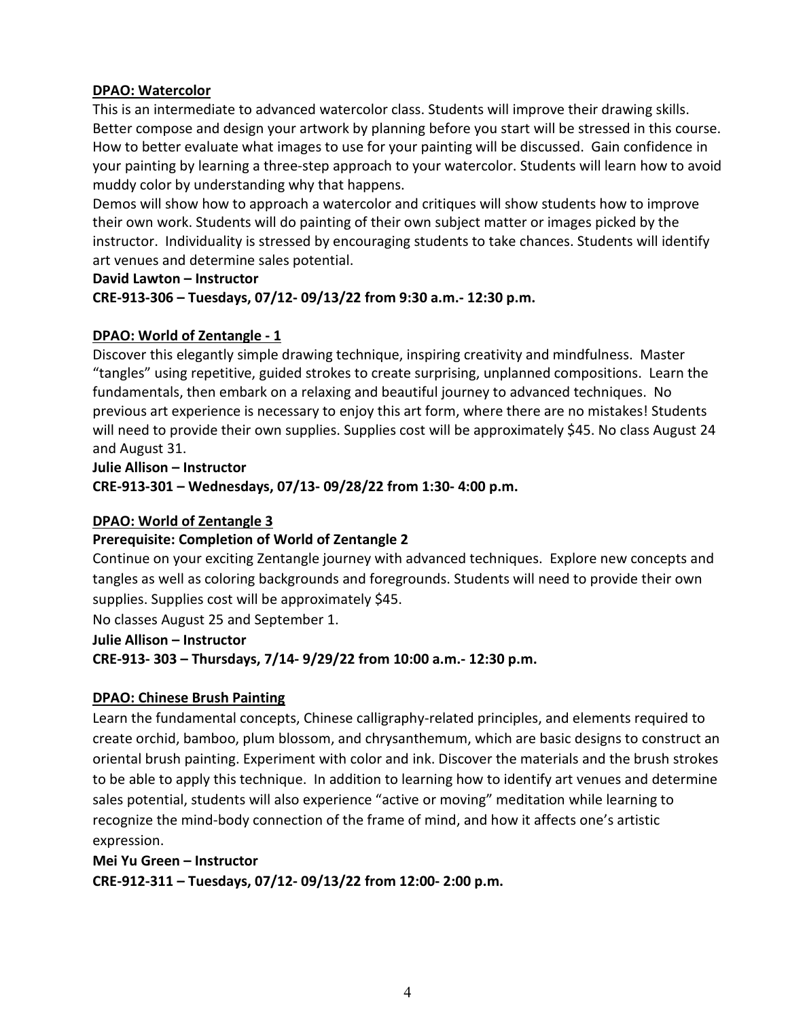#### **DPAO: Watercolor**

This is an intermediate to advanced watercolor class. Students will improve their drawing skills. Better compose and design your artwork by planning before you start will be stressed in this course. How to better evaluate what images to use for your painting will be discussed. Gain confidence in your painting by learning a three-step approach to your watercolor. Students will learn how to avoid muddy color by understanding why that happens.

Demos will show how to approach a watercolor and critiques will show students how to improve their own work. Students will do painting of their own subject matter or images picked by the instructor. Individuality is stressed by encouraging students to take chances. Students will identify art venues and determine sales potential.

#### **David Lawton – Instructor**

**CRE-913-306 – Tuesdays, 07/12- 09/13/22 from 9:30 a.m.- 12:30 p.m.**

#### **DPAO: World of Zentangle - 1**

Discover this elegantly simple drawing technique, inspiring creativity and mindfulness.Master "tangles" using repetitive, guided strokes to create surprising, unplanned compositions. Learn the fundamentals, then embark on a relaxing and beautiful journey to advanced techniques. No previous art experience is necessary to enjoy this art form, where there are no mistakes! Students will need to provide their own supplies. Supplies cost will be approximately \$45. No class August 24 and August 31.

**Julie Allison – Instructor CRE-913-301 – Wednesdays, 07/13- 09/28/22 from 1:30- 4:00 p.m.**

#### **DPAO: World of Zentangle 3**

#### **Prerequisite: Completion of World of Zentangle 2**

Continue on your exciting Zentangle journey with advanced techniques. Explore new concepts and tangles as well as coloring backgrounds and foregrounds. Students will need to provide their own supplies. Supplies cost will be approximately \$45.

No classes August 25 and September 1.

#### **Julie Allison – Instructor**

**CRE-913- 303 – Thursdays, 7/14- 9/29/22 from 10:00 a.m.- 12:30 p.m.** 

# **DPAO: Chinese Brush Painting**

Learn the fundamental concepts, Chinese calligraphy-related principles, and elements required to create orchid, bamboo, plum blossom, and chrysanthemum, which are basic designs to construct an oriental brush painting. Experiment with color and ink. Discover the materials and the brush strokes to be able to apply this technique. In addition to learning how to identify art venues and determine sales potential, students will also experience "active or moving" meditation while learning to recognize the mind-body connection of the frame of mind, and how it affects one's artistic expression.

**Mei Yu Green – Instructor CRE-912-311 – Tuesdays, 07/12- 09/13/22 from 12:00- 2:00 p.m.**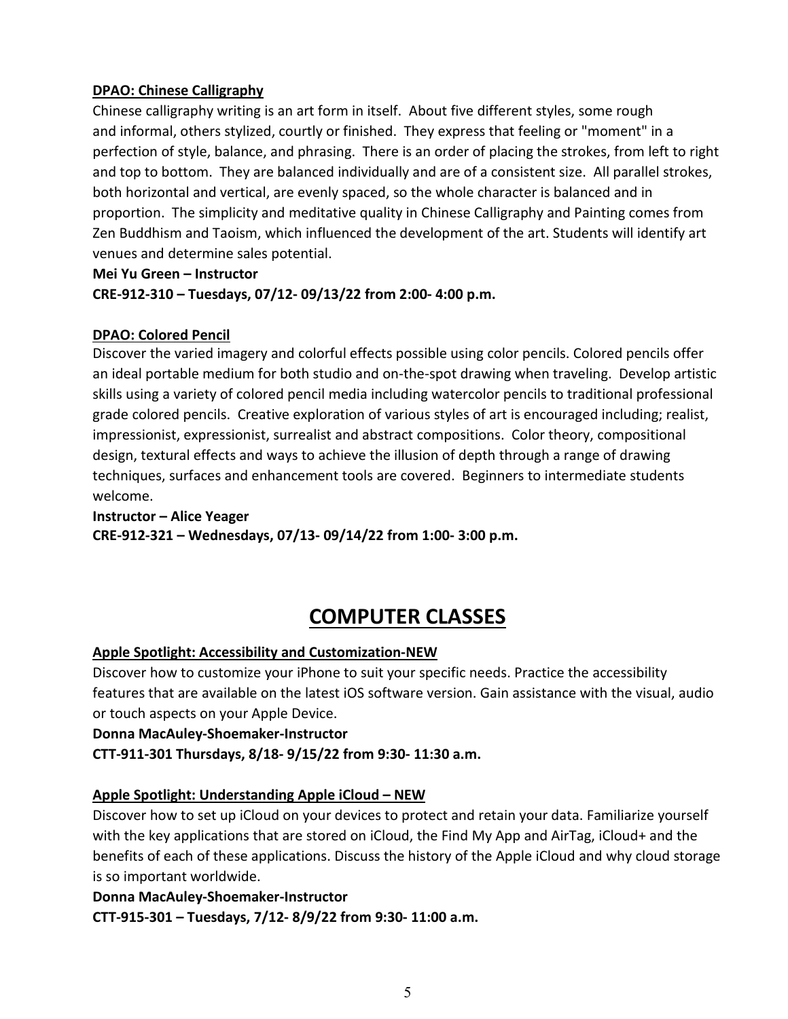# **DPAO: Chinese Calligraphy**

Chinese calligraphy writing is an art form in itself. About five different styles, some rough and informal, others stylized, courtly or finished. They express that feeling or "moment" in a perfection of style, balance, and phrasing. There is an order of placing the strokes, from left to right and top to bottom. They are balanced individually and are of a consistent size. All parallel strokes, both horizontal and vertical, are evenly spaced, so the whole character is balanced and in proportion. The simplicity and meditative quality in Chinese Calligraphy and Painting comes from Zen Buddhism and Taoism, which influenced the development of the art. Students will identify art venues and determine sales potential.

**Mei Yu Green – Instructor**

**CRE-912-310 – Tuesdays, 07/12- 09/13/22 from 2:00- 4:00 p.m.**

#### **DPAO: Colored Pencil**

Discover the varied imagery and colorful effects possible using color pencils. Colored pencils offer an ideal portable medium for both studio and on-the-spot drawing when traveling. Develop artistic skills using a variety of colored pencil media including watercolor pencils to traditional professional grade colored pencils. Creative exploration of various styles of art is encouraged including; realist, impressionist, expressionist, surrealist and abstract compositions. Color theory, compositional design, textural effects and ways to achieve the illusion of depth through a range of drawing techniques, surfaces and enhancement tools are covered. Beginners to intermediate students welcome.

# **Instructor – Alice Yeager CRE-912-321 – Wednesdays, 07/13- 09/14/22 from 1:00- 3:00 p.m.**

# **COMPUTER CLASSES**

# <span id="page-4-0"></span>**Apple Spotlight: Accessibility and Customization-NEW**

Discover how to customize your iPhone to suit your specific needs. Practice the accessibility features that are available on the latest iOS software version. Gain assistance with the visual, audio or touch aspects on your Apple Device.

#### **Donna MacAuley-Shoemaker-Instructor**

**CTT-911-301 Thursdays, 8/18- 9/15/22 from 9:30- 11:30 a.m.**

# **Apple Spotlight: Understanding Apple iCloud – NEW**

Discover how to set up iCloud on your devices to protect and retain your data. Familiarize yourself with the key applications that are stored on iCloud, the Find My App and AirTag, iCloud+ and the benefits of each of these applications. Discuss the history of the Apple iCloud and why cloud storage is so important worldwide.

**Donna MacAuley-Shoemaker-Instructor CTT-915-301 – Tuesdays, 7/12- 8/9/22 from 9:30- 11:00 a.m.**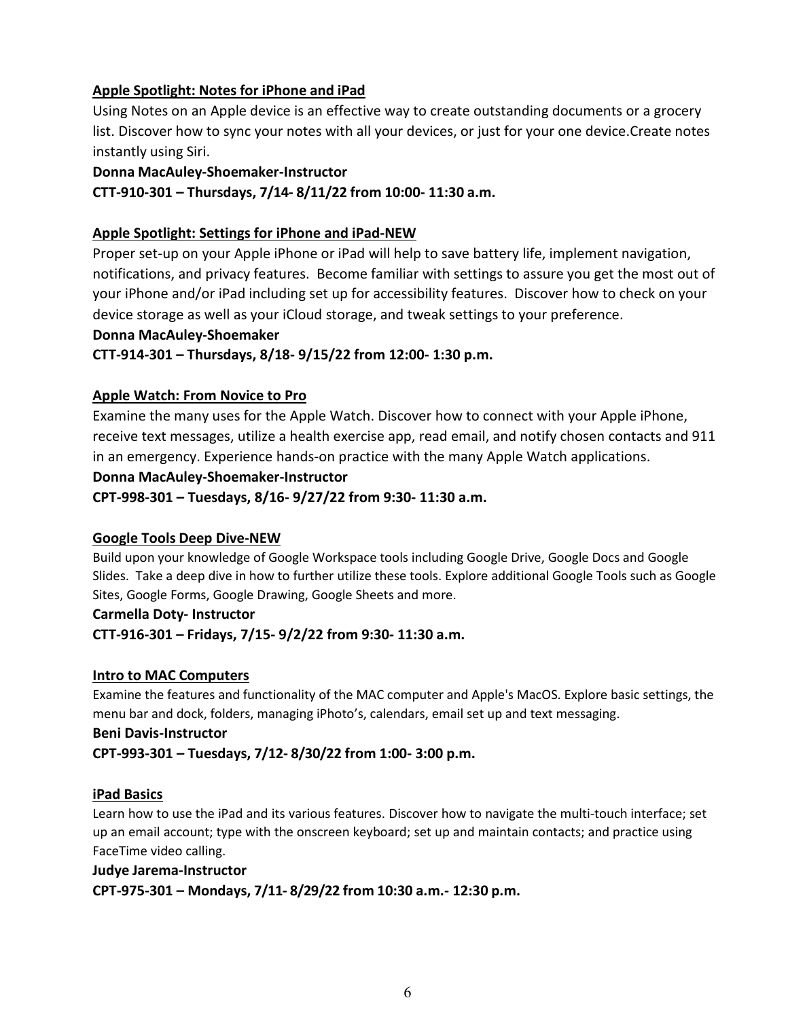# **Apple Spotlight: Notes for iPhone and iPad**

Using Notes on an Apple device is an effective way to create outstanding documents or a grocery list. Discover how to sync your notes with all your devices, or just for your one device.Create notes instantly using Siri.

#### **Donna MacAuley-Shoemaker-Instructor**

**CTT-910-301 – Thursdays, 7/14- 8/11/22 from 10:00- 11:30 a.m.**

#### **Apple Spotlight: Settings for iPhone and iPad-NEW**

Proper set-up on your Apple iPhone or iPad will help to save battery life, implement navigation, notifications, and privacy features. Become familiar with settings to assure you get the most out of your iPhone and/or iPad including set up for accessibility features. Discover how to check on your device storage as well as your iCloud storage, and tweak settings to your preference.

#### **Donna MacAuley-Shoemaker**

#### **CTT-914-301 – Thursdays, 8/18- 9/15/22 from 12:00- 1:30 p.m.**

#### **Apple Watch: From Novice to Pro**

Examine the many uses for the Apple Watch. Discover how to connect with your Apple iPhone, receive text messages, utilize a health exercise app, read email, and notify chosen contacts and 911 in an emergency. Experience hands-on practice with the many Apple Watch applications.

#### **Donna MacAuley-Shoemaker-Instructor**

**CPT-998-301 – Tuesdays, 8/16- 9/27/22 from 9:30- 11:30 a.m.**

#### **Google Tools Deep Dive-NEW**

Build upon your knowledge of Google Workspace tools including Google Drive, Google Docs and Google Slides. Take a deep dive in how to further utilize these tools. Explore additional Google Tools such as Google Sites, Google Forms, Google Drawing, Google Sheets and more.

#### **Carmella Doty- Instructor**

**CTT-916-301 – Fridays, 7/15- 9/2/22 from 9:30- 11:30 a.m.** 

#### **Intro to MAC Computers**

Examine the features and functionality of the MAC computer and Apple's MacOS. Explore basic settings, the menu bar and dock, folders, managing iPhoto's, calendars, email set up and text messaging.

#### **Beni Davis-Instructor**

**CPT-993-301 – Tuesdays, 7/12- 8/30/22 from 1:00- 3:00 p.m.**

#### **iPad Basics**

Learn how to use the iPad and its various features. Discover how to navigate the multi-touch interface; set up an email account; type with the onscreen keyboard; set up and maintain contacts; and practice using FaceTime video calling.

# **Judye Jarema-Instructor CPT-975-301 – Mondays, 7/11- 8/29/22 from 10:30 a.m.- 12:30 p.m.**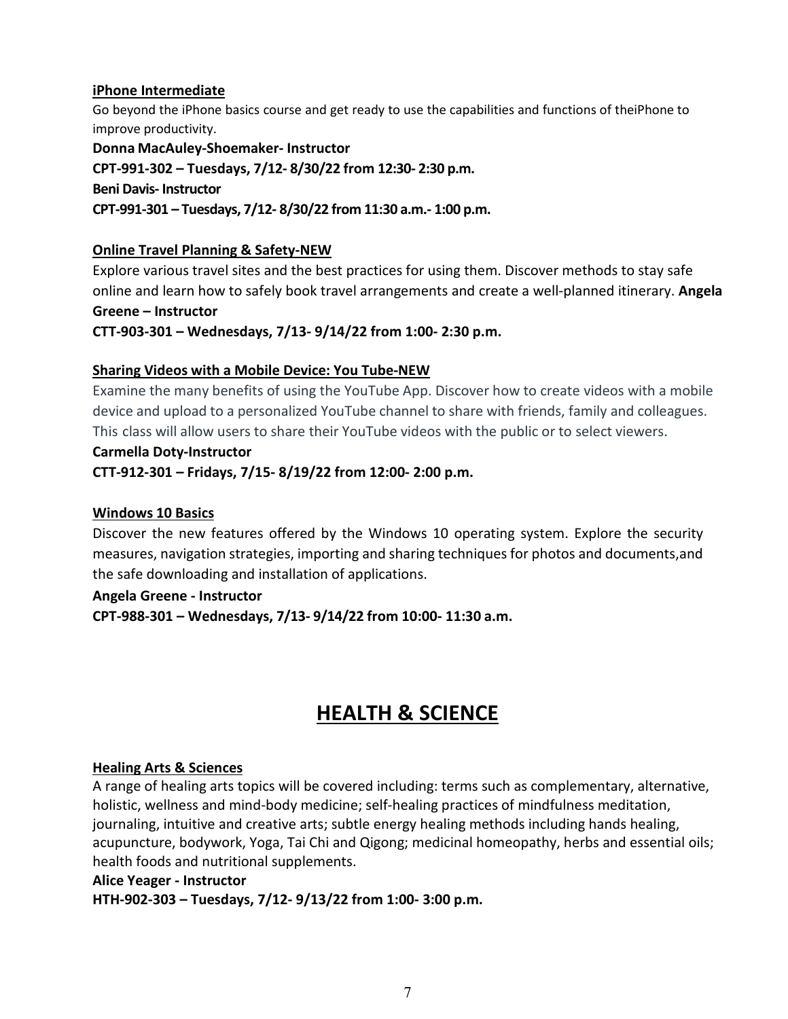## **iPhone Intermediate**

Go beyond the iPhone basics course and get ready to use the capabilities and functions of theiPhone to improve productivity.

**Donna MacAuley-Shoemaker- Instructor CPT-991-302 – Tuesdays, 7/12- 8/30/22 from 12:30- 2:30 p.m. Beni Davis- Instructor CPT-991-301 – Tuesdays, 7/12- 8/30/22 from 11:30 a.m.- 1:00 p.m.**

# **Online Travel Planning & Safety-NEW**

Explore various travel sites and the best practices for using them. Discover methods to stay safe online and learn how to safely book travel arrangements and create a well-planned itinerary. **Angela Greene – Instructor**

**CTT-903-301 – Wednesdays, 7/13- 9/14/22 from 1:00- 2:30 p.m.**

# **Sharing Videos with a Mobile Device: You Tube-NEW**

Examine the many benefits of using the YouTube App. Discover how to create videos with a mobile device and upload to a personalized YouTube channel to share with friends, family and colleagues. This class will allow users to share their YouTube videos with the public or to select viewers.

#### **Carmella Doty-Instructor**

**CTT-912-301 – Fridays, 7/15- 8/19/22 from 12:00- 2:00 p.m.**

# **Windows 10 Basics**

Discover the new features offered by the Windows 10 operating system. Explore the security measures, navigation strategies, importing and sharing techniques for photos and documents,and the safe downloading and installation of applications.

#### **Angela Greene - Instructor**

**CPT-988-301 – Wednesdays, 7/13- 9/14/22 from 10:00- 11:30 a.m.**

# **HEALTH & SCIENCE**

# <span id="page-6-0"></span>**Healing Arts & Sciences**

A range of healing arts topics will be covered including: terms such as complementary, alternative, holistic, wellness and mind-body medicine; self-healing practices of mindfulness meditation, journaling, intuitive and creative arts; subtle energy healing methods including hands healing, acupuncture, bodywork, Yoga, Tai Chi and Qigong; medicinal homeopathy, herbs and essential oils; health foods and nutritional supplements.

#### **Alice Yeager - Instructor**

**HTH-902-303 – Tuesdays, 7/12- 9/13/22 from 1:00- 3:00 p.m.**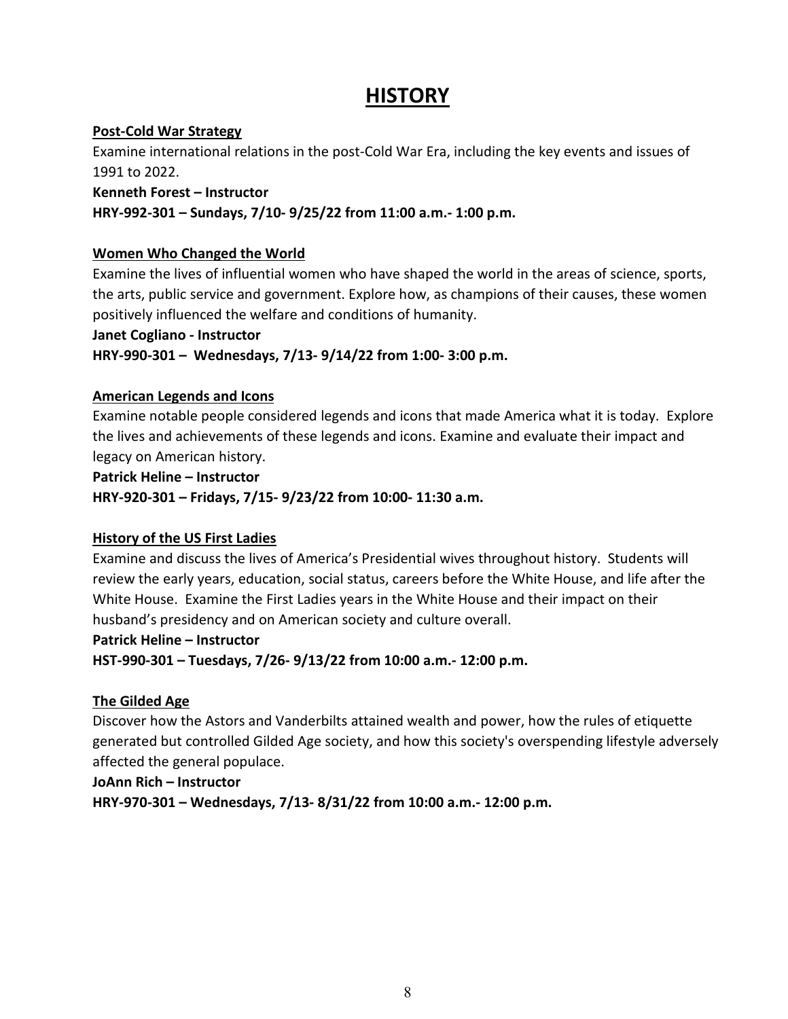# **HISTORY**

# <span id="page-7-0"></span>**Post-Cold War Strategy**

Examine international relations in the post-Cold War Era, including the key events and issues of 1991 to 2022.

#### **Kenneth Forest – Instructor**

# **HRY-992-301 – Sundays, 7/10- 9/25/22 from 11:00 a.m.- 1:00 p.m.**

# **Women Who Changed the World**

Examine the lives of influential women who have shaped the world in the areas of science, sports, the arts, public service and government. Explore how, as champions of their causes, these women positively influenced the welfare and conditions of humanity.

# **Janet Cogliano - Instructor**

**HRY-990-301 – Wednesdays, 7/13- 9/14/22 from 1:00- 3:00 p.m.** 

# **American Legends and Icons**

Examine notable people considered legends and icons that made America what it is today. Explore the lives and achievements of these legends and icons. Examine and evaluate their impact and legacy on American history.

**Patrick Heline – Instructor**

**HRY-920-301 – Fridays, 7/15- 9/23/22 from 10:00- 11:30 a.m.**

# **History of the US First Ladies**

Examine and discuss the lives of America's Presidential wives throughout history. Students will review the early years, education, social status, careers before the White House, and life after the White House. Examine the First Ladies years in the White House and their impact on their husband's presidency and on American society and culture overall.

# **Patrick Heline – Instructor**

**HST-990-301 – Tuesdays, 7/26- 9/13/22 from 10:00 a.m.- 12:00 p.m.** 

# **The Gilded Age**

Discover how the Astors and Vanderbilts attained wealth and power, how the rules of etiquette generated but controlled Gilded Age society, and how this society's overspending lifestyle adversely affected the general populace.

# **JoAnn Rich – Instructor**

**HRY-970-301 – Wednesdays, 7/13- 8/31/22 from 10:00 a.m.- 12:00 p.m.**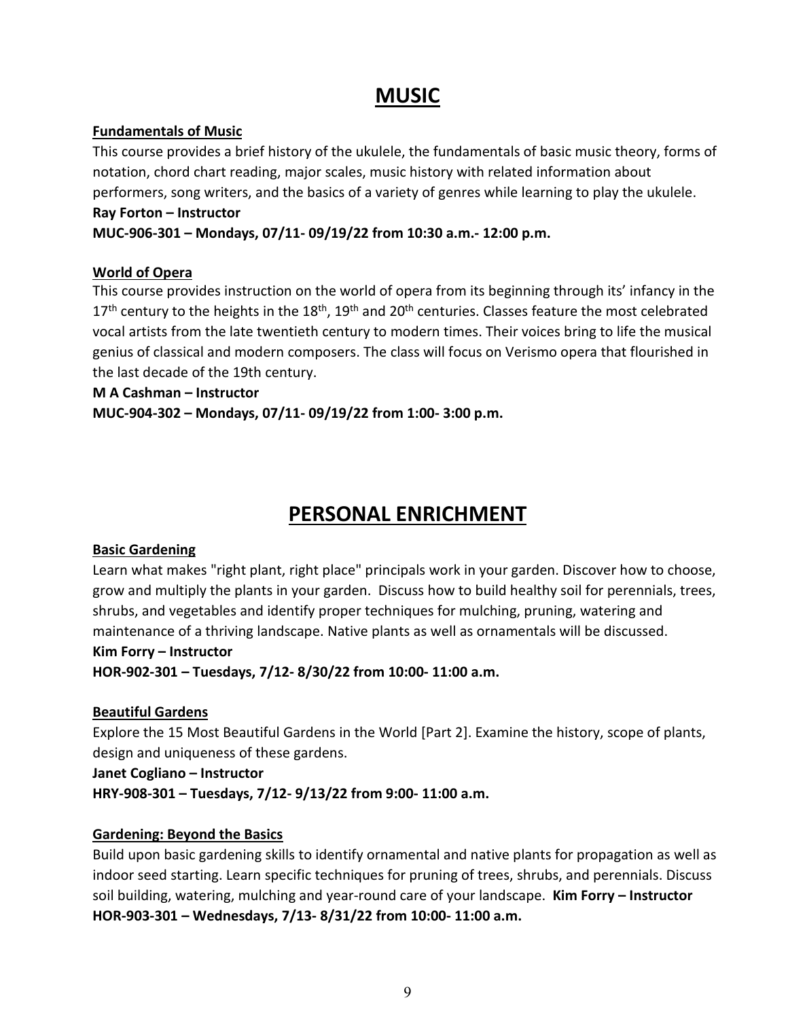# **MUSIC**

# <span id="page-8-0"></span>**Fundamentals of Music**

This course provides a brief history of the ukulele, the fundamentals of basic music theory, forms of notation, chord chart reading, major scales, music history with related information about performers, song writers, and the basics of a variety of genres while learning to play the ukulele.

#### **Ray Forton – Instructor MUC-906-301 – Mondays, 07/11- 09/19/22 from 10:30 a.m.- 12:00 p.m.**

# **World of Opera**

This course provides instruction on the world of opera from its beginning through its' infancy in the  $17<sup>th</sup>$  century to the heights in the  $18<sup>th</sup>$ ,  $19<sup>th</sup>$  and  $20<sup>th</sup>$  centuries. Classes feature the most celebrated vocal artists from the late twentieth century to modern times. Their voices bring to life the musical genius of classical and modern composers. The class will focus on Verismo opera that flourished in the last decade of the 19th century.

**M A Cashman – Instructor**

**MUC-904-302 – Mondays, 07/11- 09/19/22 from 1:00- 3:00 p.m.**

# **PERSONAL ENRICHMENT**

# <span id="page-8-1"></span>**Basic Gardening**

Learn what makes "right plant, right place" principals work in your garden. Discover how to choose, grow and multiply the plants in your garden. Discuss how to build healthy soil for perennials, trees, shrubs, and vegetables and identify proper techniques for mulching, pruning, watering and maintenance of a thriving landscape. Native plants as well as ornamentals will be discussed.

# **Kim Forry – Instructor**

**HOR-902-301 – Tuesdays, 7/12- 8/30/22 from 10:00- 11:00 a.m.**

# **Beautiful Gardens**

Explore the 15 Most Beautiful Gardens in the World [Part 2]. Examine the history, scope of plants, design and uniqueness of these gardens.

**Janet Cogliano – Instructor**

**HRY-908-301 – Tuesdays, 7/12- 9/13/22 from 9:00- 11:00 a.m.**

# **Gardening: Beyond the Basics**

Build upon basic gardening skills to identify ornamental and native plants for propagation as well as indoor seed starting. Learn specific techniques for pruning of trees, shrubs, and perennials. Discuss soil building, watering, mulching and year-round care of your landscape. **Kim Forry – Instructor HOR-903-301 – Wednesdays, 7/13- 8/31/22 from 10:00- 11:00 a.m.**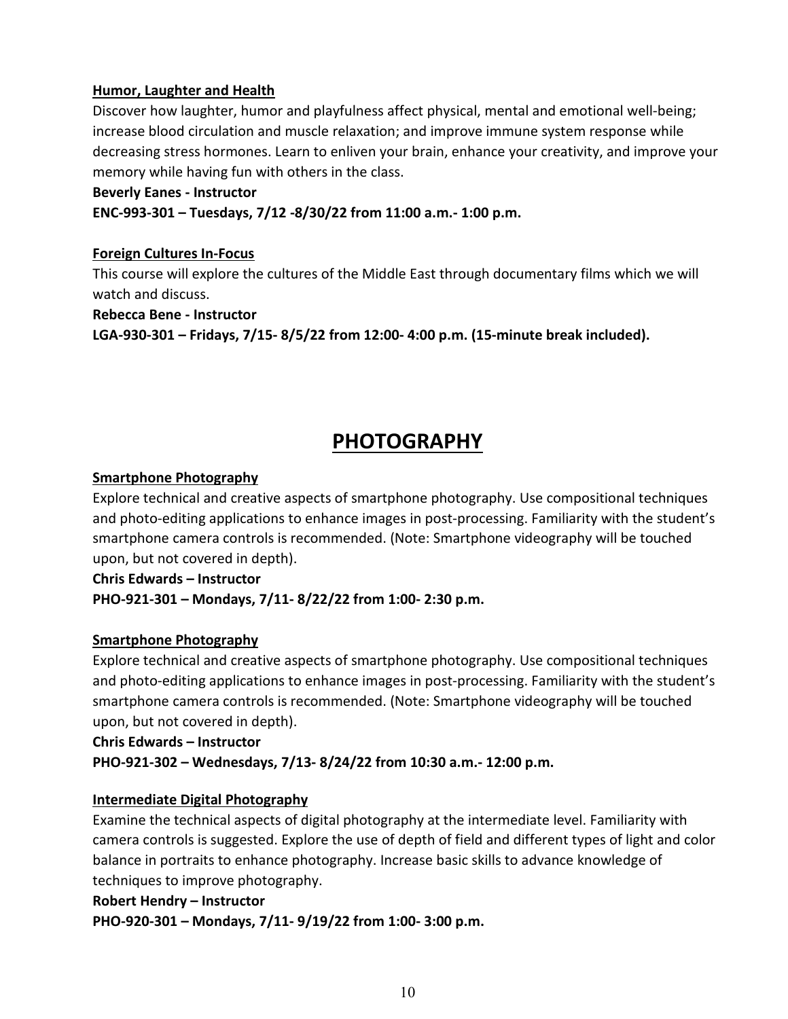## **Humor, Laughter and Health**

Discover how laughter, humor and playfulness affect physical, mental and emotional well-being; increase blood circulation and muscle relaxation; and improve immune system response while decreasing stress hormones. Learn to enliven your brain, enhance your creativity, and improve your memory while having fun with others in the class.

#### **Beverly Eanes - Instructor**

**ENC-993-301 – Tuesdays, 7/12 -8/30/22 from 11:00 a.m.- 1:00 p.m.** 

#### **Foreign Cultures In-Focus**

This course will explore the cultures of the Middle East through documentary films which we will watch and discuss.

**Rebecca Bene - Instructor**

**LGA-930-301 – Fridays, 7/15- 8/5/22 from 12:00- 4:00 p.m. (15-minute break included).**

# **PHOTOGRAPHY**

#### <span id="page-9-0"></span>**Smartphone Photography**

Explore technical and creative aspects of smartphone photography. Use compositional techniques and photo-editing applications to enhance images in post-processing. Familiarity with the student's smartphone camera controls is recommended. (Note: Smartphone videography will be touched upon, but not covered in depth).

**Chris Edwards – Instructor**

**PHO-921-301 – Mondays, 7/11- 8/22/22 from 1:00- 2:30 p.m.** 

# **Smartphone Photography**

Explore technical and creative aspects of smartphone photography. Use compositional techniques and photo-editing applications to enhance images in post-processing. Familiarity with the student's smartphone camera controls is recommended. (Note: Smartphone videography will be touched upon, but not covered in depth).

**Chris Edwards – Instructor**

**PHO-921-302 – Wednesdays, 7/13- 8/24/22 from 10:30 a.m.- 12:00 p.m.**

# **Intermediate Digital Photography**

Examine the technical aspects of digital photography at the intermediate level. Familiarity with camera controls is suggested. Explore the use of depth of field and different types of light and color balance in portraits to enhance photography. Increase basic skills to advance knowledge of techniques to improve photography.

#### **Robert Hendry – Instructor**

**PHO-920-301 – Mondays, 7/11- 9/19/22 from 1:00- 3:00 p.m.**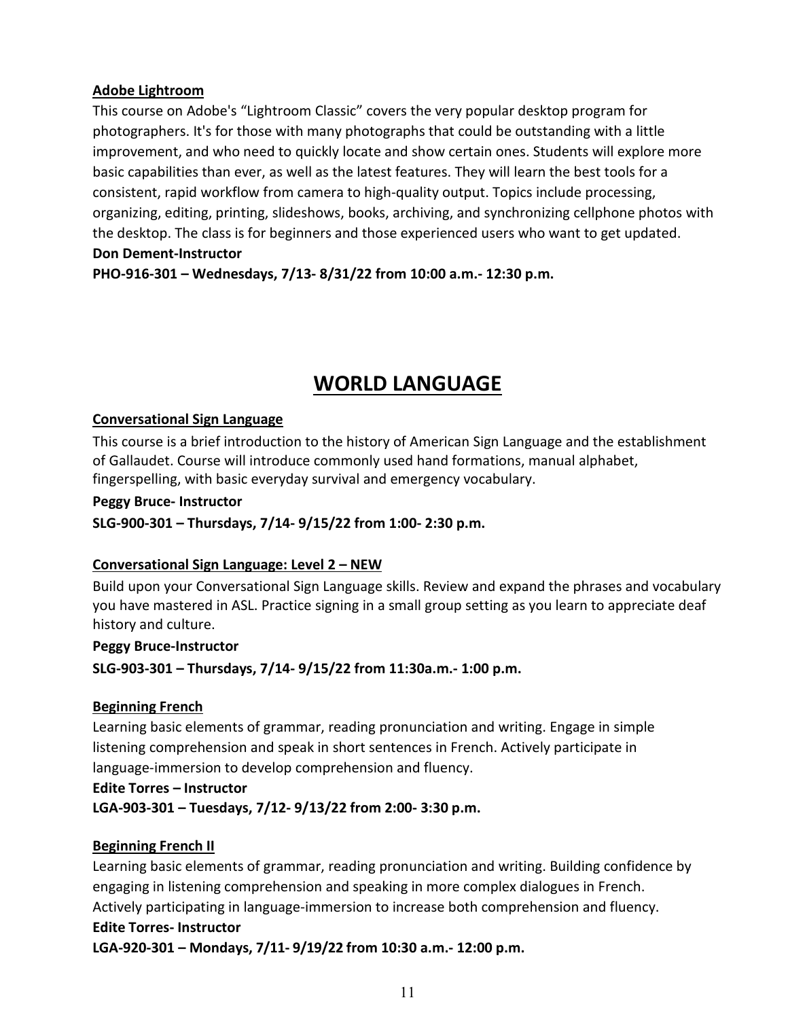#### **Adobe Lightroom**

This course on Adobe's "Lightroom Classic" covers the very popular desktop program for photographers. It's for those with many photographs that could be outstanding with a little improvement, and who need to quickly locate and show certain ones. Students will explore more basic capabilities than ever, as well as the latest features. They will learn the best tools for a consistent, rapid workflow from camera to high-quality output. Topics include processing, organizing, editing, printing, slideshows, books, archiving, and synchronizing cellphone photos with the desktop. The class is for beginners and those experienced users who want to get updated. **Don Dement-Instructor**

**PHO-916-301 – Wednesdays, 7/13- 8/31/22 from 10:00 a.m.- 12:30 p.m.** 

# **WORLD LANGUAGE**

#### <span id="page-10-0"></span>**Conversational Sign Language**

This course is a brief introduction to the history of American Sign Language and the establishment of Gallaudet. Course will introduce commonly used hand formations, manual alphabet, fingerspelling, with basic everyday survival and emergency vocabulary.

#### **Peggy Bruce- Instructor**

**SLG-900-301 – Thursdays, 7/14- 9/15/22 from 1:00- 2:30 p.m.** 

#### **Conversational Sign Language: Level 2 – NEW**

Build upon your Conversational Sign Language skills. Review and expand the phrases and vocabulary you have mastered in ASL. Practice signing in a small group setting as you learn to appreciate deaf history and culture.

#### **Peggy Bruce-Instructor**

**SLG-903-301 – Thursdays, 7/14- 9/15/22 from 11:30a.m.- 1:00 p.m.** 

#### **Beginning French**

Learning basic elements of grammar, reading pronunciation and writing. Engage in simple listening comprehension and speak in short sentences in French. Actively participate in language-immersion to develop comprehension and fluency.

#### **Edite Torres – Instructor**

**LGA-903-301 – Tuesdays, 7/12- 9/13/22 from 2:00- 3:30 p.m.**

#### **Beginning French II**

Learning basic elements of grammar, reading pronunciation and writing. Building confidence by engaging in listening comprehension and speaking in more complex dialogues in French. Actively participating in language-immersion to increase both comprehension and fluency.

#### **Edite Torres- Instructor**

**LGA-920-301 – Mondays, 7/11- 9/19/22 from 10:30 a.m.- 12:00 p.m.**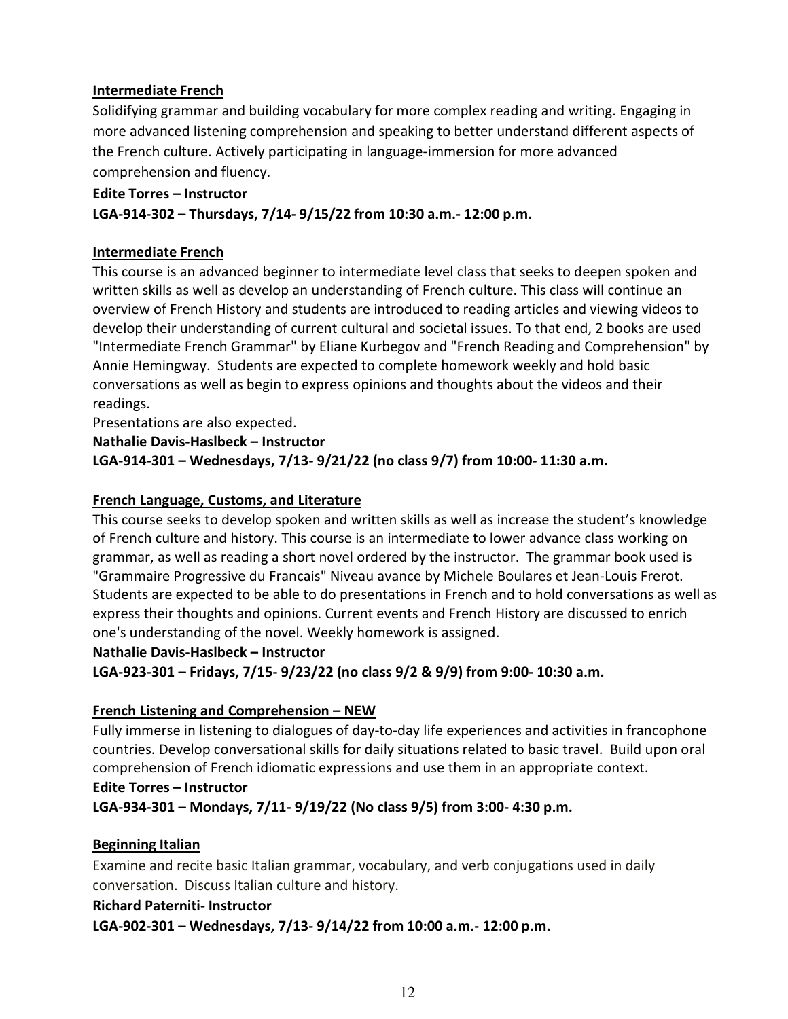## **Intermediate French**

Solidifying grammar and building vocabulary for more complex reading and writing. Engaging in more advanced listening comprehension and speaking to better understand different aspects of the French culture. Actively participating in language-immersion for more advanced comprehension and fluency.

#### **Edite Torres – Instructor**

**LGA-914-302 – Thursdays, 7/14- 9/15/22 from 10:30 a.m.- 12:00 p.m.**

#### **Intermediate French**

This course is an advanced beginner to intermediate level class that seeks to deepen spoken and written skills as well as develop an understanding of French culture. This class will continue an overview of French History and students are introduced to reading articles and viewing videos to develop their understanding of current cultural and societal issues. To that end, 2 books are used "Intermediate French Grammar" by Eliane Kurbegov and "French Reading and Comprehension" by Annie Hemingway. Students are expected to complete homework weekly and hold basic conversations as well as begin to express opinions and thoughts about the videos and their readings.

Presentations are also expected.

**Nathalie Davis-Haslbeck – Instructor LGA-914-301 – Wednesdays, 7/13- 9/21/22 (no class 9/7) from 10:00- 11:30 a.m.**

#### **French Language, Customs, and Literature**

This course seeks to develop spoken and written skills as well as increase the student's knowledge of French culture and history. This course is an intermediate to lower advance class working on grammar, as well as reading a short novel ordered by the instructor. The grammar book used is "Grammaire Progressive du Francais" Niveau avance by Michele Boulares et Jean-Louis Frerot. Students are expected to be able to do presentations in French and to hold conversations as well as express their thoughts and opinions. Current events and French History are discussed to enrich one's understanding of the novel. Weekly homework is assigned.

#### **Nathalie Davis-Haslbeck – Instructor**

**LGA-923-301 – Fridays, 7/15- 9/23/22 (no class 9/2 & 9/9) from 9:00- 10:30 a.m.**

# **French Listening and Comprehension – NEW**

Fully immerse in listening to dialogues of day-to-day life experiences and activities in francophone countries. Develop conversational skills for daily situations related to basic travel. Build upon oral comprehension of French idiomatic expressions and use them in an appropriate context.

#### **Edite Torres – Instructor**

**LGA-934-301 – Mondays, 7/11- 9/19/22 (No class 9/5) from 3:00- 4:30 p.m.**

# **Beginning Italian**

Examine and recite basic Italian grammar, vocabulary, and verb conjugations used in daily conversation. Discuss Italian culture and history.

#### **Richard Paterniti- Instructor**

**LGA-902-301 – Wednesdays, 7/13- 9/14/22 from 10:00 a.m.- 12:00 p.m.**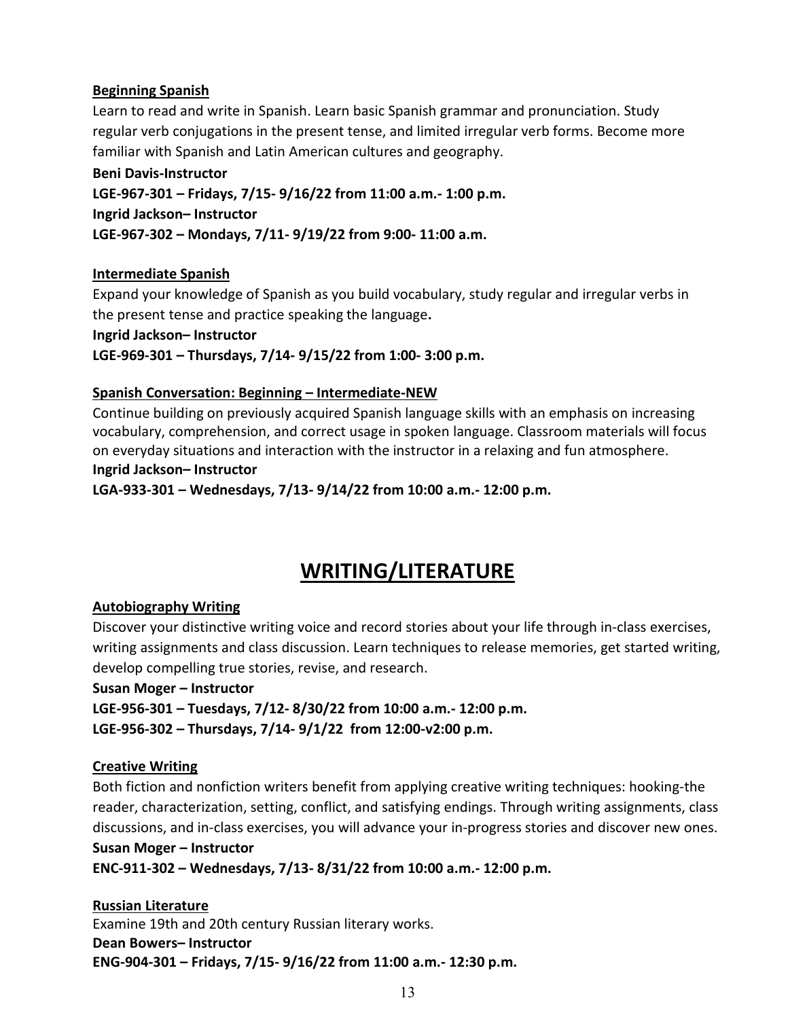# **Beginning Spanish**

Learn to read and write in Spanish. Learn basic Spanish grammar and pronunciation. Study regular verb conjugations in the present tense, and limited irregular verb forms. Become more familiar with Spanish and Latin American cultures and geography.

# **Beni Davis-Instructor LGE-967-301 – Fridays, 7/15- 9/16/22 from 11:00 a.m.- 1:00 p.m. Ingrid Jackson– Instructor LGE-967-302 – Mondays, 7/11- 9/19/22 from 9:00- 11:00 a.m.**

# **Intermediate Spanish**

Expand your knowledge of Spanish as you build vocabulary, study regular and irregular verbs in the present tense and practice speaking the language**.** 

**Ingrid Jackson– Instructor**

**LGE-969-301 – Thursdays, 7/14- 9/15/22 from 1:00- 3:00 p.m.**

#### **Spanish Conversation: Beginning – Intermediate-NEW**

Continue building on previously acquired Spanish language skills with an emphasis on increasing vocabulary, comprehension, and correct usage in spoken language. Classroom materials will focus on everyday situations and interaction with the instructor in a relaxing and fun atmosphere. **Ingrid Jackson– Instructor**

**LGA-933-301 – Wednesdays, 7/13- 9/14/22 from 10:00 a.m.- 12:00 p.m.**

# **WRITING/LITERATURE**

#### <span id="page-12-0"></span>**Autobiography Writing**

Discover your distinctive writing voice and record stories about your life through in-class exercises, writing assignments and class discussion. Learn techniques to release memories, get started writing, develop compelling true stories, revise, and research.

**Susan Moger – Instructor**

**LGE-956-301 – Tuesdays, 7/12- 8/30/22 from 10:00 a.m.- 12:00 p.m.** 

**LGE-956-302 – Thursdays, 7/14- 9/1/22 from 12:00-v2:00 p.m.**

#### **Creative Writing**

Both fiction and nonfiction writers benefit from applying creative writing techniques: hooking-the reader, characterization, setting, conflict, and satisfying endings. Through writing assignments, class discussions, and in-class exercises, you will advance your in-progress stories and discover new ones. **Susan Moger – Instructor**

**ENC-911-302 – Wednesdays, 7/13- 8/31/22 from 10:00 a.m.- 12:00 p.m.**

**Russian Literature** Examine 19th and 20th century Russian literary works. **Dean Bowers– Instructor ENG-904-301 – Fridays, 7/15- 9/16/22 from 11:00 a.m.- 12:30 p.m.**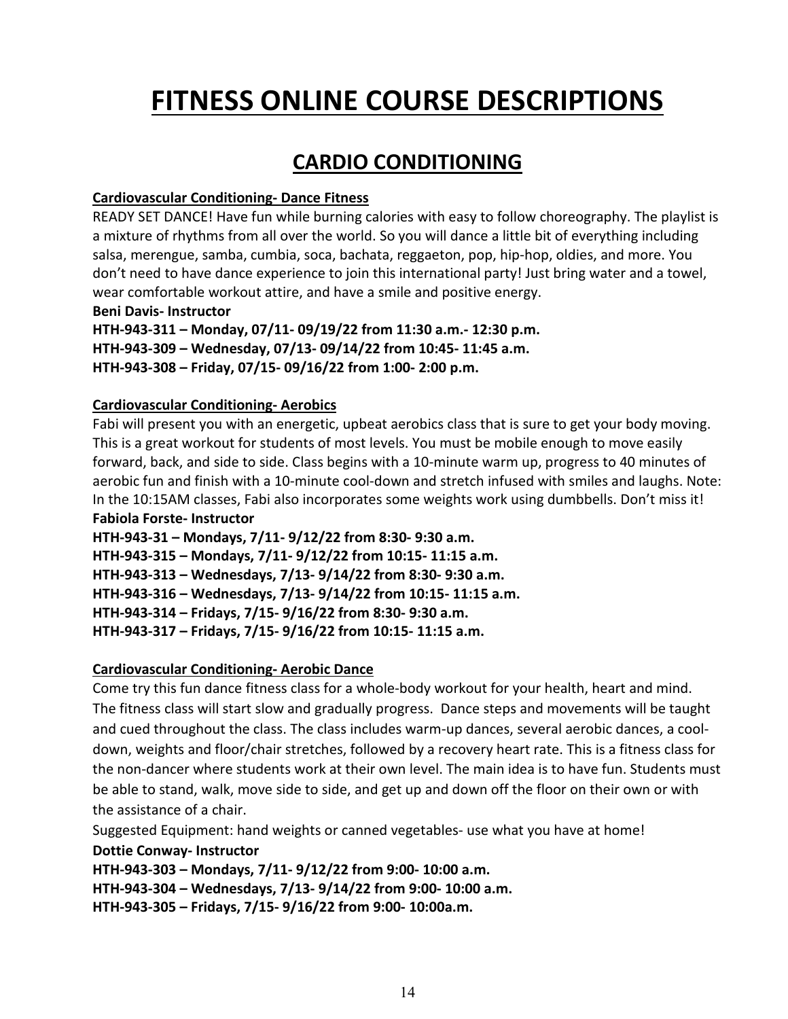# **FITNESS ONLINE COURSE DESCRIPTIONS**

# **CARDIO CONDITIONING**

# <span id="page-13-0"></span>**Cardiovascular Conditioning- Dance Fitness**

READY SET DANCE! Have fun while burning calories with easy to follow choreography. The playlist is a mixture of rhythms from all over the world. So you will dance a little bit of everything including salsa, merengue, samba, cumbia, soca, bachata, reggaeton, pop, hip-hop, oldies, and more. You don't need to have dance experience to join this international party! Just bring water and a towel, wear comfortable workout attire, and have a smile and positive energy.

#### **Beni Davis- Instructor**

**HTH-943-311 – Monday, 07/11- 09/19/22 from 11:30 a.m.- 12:30 p.m. HTH-943-309 – Wednesday, 07/13- 09/14/22 from 10:45- 11:45 a.m. HTH-943-308 – Friday, 07/15- 09/16/22 from 1:00- 2:00 p.m.**

# **Cardiovascular Conditioning- Aerobics**

Fabi will present you with an energetic, upbeat aerobics class that is sure to get your body moving. This is a great workout for students of most levels. You must be mobile enough to move easily forward, back, and side to side. Class begins with a 10-minute warm up, progress to 40 minutes of aerobic fun and finish with a 10-minute cool-down and stretch infused with smiles and laughs. Note: In the 10:15AM classes, Fabi also incorporates some weights work using dumbbells. Don't miss it! **Fabiola Forste- Instructor**

**HTH-943-31 – Mondays, 7/11- 9/12/22 from 8:30- 9:30 a.m. HTH-943-315 – Mondays, 7/11- 9/12/22 from 10:15- 11:15 a.m.** 

**HTH-943-313 – Wednesdays, 7/13- 9/14/22 from 8:30- 9:30 a.m.** 

**HTH-943-316 – Wednesdays, 7/13- 9/14/22 from 10:15- 11:15 a.m.** 

**HTH-943-314 – Fridays, 7/15- 9/16/22 from 8:30- 9:30 a.m.** 

**HTH-943-317 – Fridays, 7/15- 9/16/22 from 10:15- 11:15 a.m.** 

# **Cardiovascular Conditioning- Aerobic Dance**

Come try this fun dance fitness class for a whole-body workout for your health, heart and mind. The fitness class will start slow and gradually progress. Dance steps and movements will be taught and cued throughout the class. The class includes warm-up dances, several aerobic dances, a cooldown, weights and floor/chair stretches, followed by a recovery heart rate. This is a fitness class for the non-dancer where students work at their own level. The main idea is to have fun. Students must be able to stand, walk, move side to side, and get up and down off the floor on their own or with the assistance of a chair.

Suggested Equipment: hand weights or canned vegetables- use what you have at home! **Dottie Conway- Instructor**

**HTH-943-303 – Mondays, 7/11- 9/12/22 from 9:00- 10:00 a.m.** 

**HTH-943-304 – Wednesdays, 7/13- 9/14/22 from 9:00- 10:00 a.m.** 

**HTH-943-305 – Fridays, 7/15- 9/16/22 from 9:00- 10:00a.m.**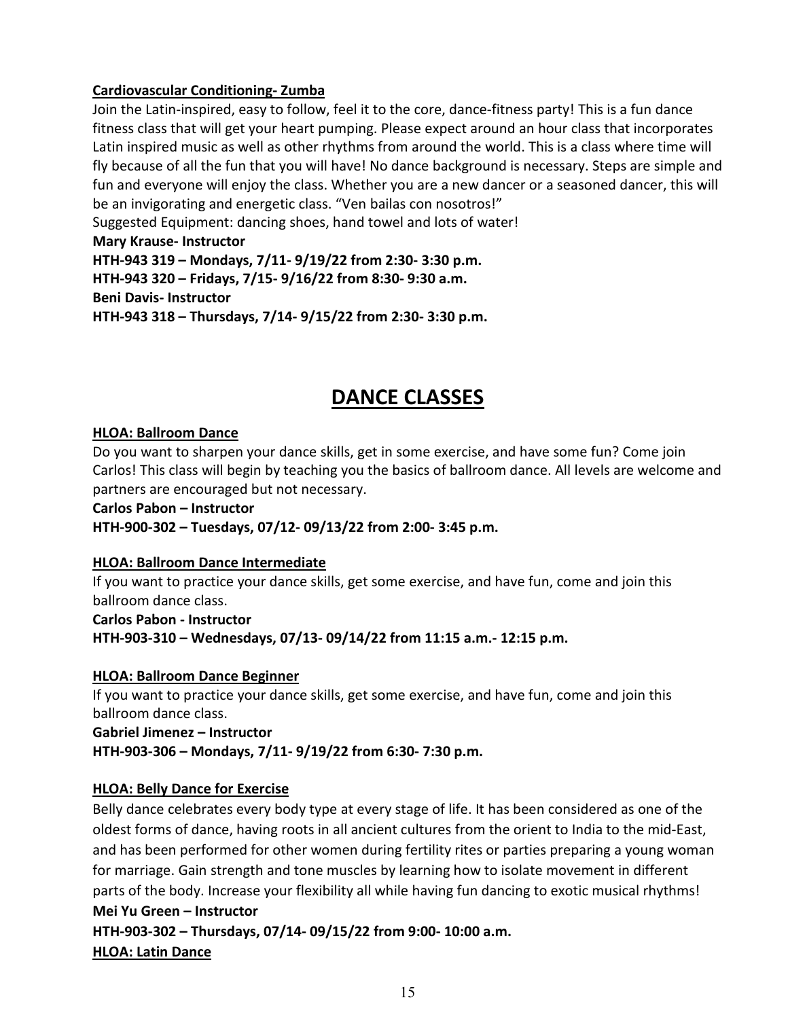# **Cardiovascular Conditioning- Zumba**

Join the Latin-inspired, easy to follow, feel it to the core, dance-fitness party! This is a fun dance fitness class that will get your heart pumping. Please expect around an hour class that incorporates Latin inspired music as well as other rhythms from around the world. This is a class where time will fly because of all the fun that you will have! No dance background is necessary. Steps are simple and fun and everyone will enjoy the class. Whether you are a new dancer or a seasoned dancer, this will be an invigorating and energetic class. "Ven bailas con nosotros!"

Suggested Equipment: dancing shoes, hand towel and lots of water!

**Mary Krause- Instructor**

**HTH-943 319 – Mondays, 7/11- 9/19/22 from 2:30- 3:30 p.m.** 

**HTH-943 320 – Fridays, 7/15- 9/16/22 from 8:30- 9:30 a.m. Beni Davis- Instructor**

**HTH-943 318 – Thursdays, 7/14- 9/15/22 from 2:30- 3:30 p.m.** 

# **DANCE CLASSES**

#### <span id="page-14-0"></span>**HLOA: Ballroom Dance**

Do you want to sharpen your dance skills, get in some exercise, and have some fun? Come join Carlos! This class will begin by teaching you the basics of ballroom dance. All levels are welcome and partners are encouraged but not necessary.

**Carlos Pabon – Instructor HTH-900-302 – Tuesdays, 07/12- 09/13/22 from 2:00- 3:45 p.m.**

# **HLOA: Ballroom Dance Intermediate**

If you want to practice your dance skills, get some exercise, and have fun, come and join this ballroom dance class.

**Carlos Pabon - Instructor HTH-903-310 – Wednesdays, 07/13- 09/14/22 from 11:15 a.m.- 12:15 p.m.**

#### **HLOA: Ballroom Dance Beginner**

If you want to practice your dance skills, get some exercise, and have fun, come and join this ballroom dance class.

**Gabriel Jimenez – Instructor HTH-903-306 – Mondays, 7/11- 9/19/22 from 6:30- 7:30 p.m.**

# **HLOA: Belly Dance for Exercise**

Belly dance celebrates every body type at every stage of life. It has been considered as one of the oldest forms of dance, having roots in all ancient cultures from the orient to India to the mid-East, and has been performed for other women during fertility rites or parties preparing a young woman for marriage. Gain strength and tone muscles by learning how to isolate movement in different parts of the body. Increase your flexibility all while having fun dancing to exotic musical rhythms! **Mei Yu Green – Instructor**

**HTH-903-302 – Thursdays, 07/14- 09/15/22 from 9:00- 10:00 a.m. HLOA: Latin Dance**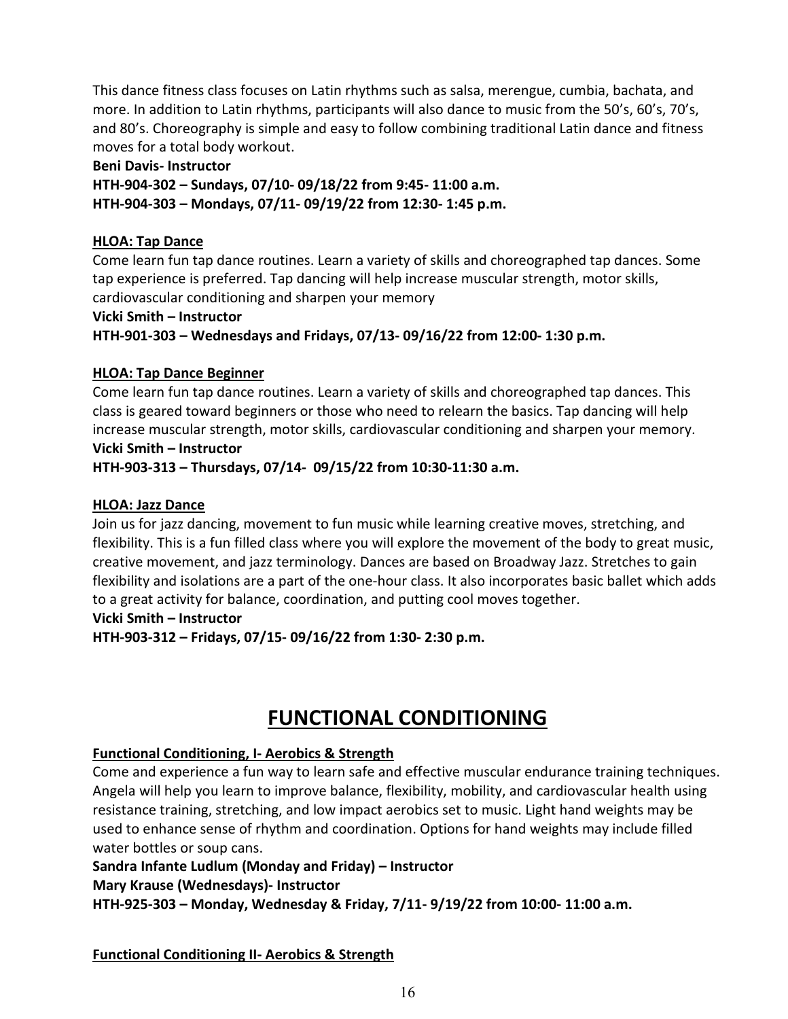This dance fitness class focuses on Latin rhythms such as salsa, merengue, cumbia, bachata, and more. In addition to Latin rhythms, participants will also dance to music from the 50's, 60's, 70's, and 80's. Choreography is simple and easy to follow combining traditional Latin dance and fitness moves for a total body workout.

# **Beni Davis- Instructor**

**HTH-904-302 – Sundays, 07/10- 09/18/22 from 9:45- 11:00 a.m. HTH-904-303 – Mondays, 07/11- 09/19/22 from 12:30- 1:45 p.m.** 

# **HLOA: Tap Dance**

Come learn fun tap dance routines. Learn a variety of skills and choreographed tap dances. Some tap experience is preferred. Tap dancing will help increase muscular strength, motor skills, cardiovascular conditioning and sharpen your memory

# **Vicki Smith – Instructor**

**HTH-901-303 – Wednesdays and Fridays, 07/13- 09/16/22 from 12:00- 1:30 p.m.**

# **HLOA: Tap Dance Beginner**

Come learn fun tap dance routines. Learn a variety of skills and choreographed tap dances. This class is geared toward beginners or those who need to relearn the basics. Tap dancing will help increase muscular strength, motor skills, cardiovascular conditioning and sharpen your memory. **Vicki Smith – Instructor**

**HTH-903-313 – Thursdays, 07/14- 09/15/22 from 10:30-11:30 a.m.**

# **HLOA: Jazz Dance**

Join us for jazz dancing, movement to fun music while learning creative moves, stretching, and flexibility. This is a fun filled class where you will explore the movement of the body to great music, creative movement, and jazz terminology. Dances are based on Broadway Jazz. Stretches to gain flexibility and isolations are a part of the one-hour class. It also incorporates basic ballet which adds to a great activity for balance, coordination, and putting cool moves together.

#### **Vicki Smith – Instructor**

**HTH-903-312 – Fridays, 07/15- 09/16/22 from 1:30- 2:30 p.m.**

# **FUNCTIONAL CONDITIONING**

# <span id="page-15-0"></span>**Functional Conditioning, I- Aerobics & Strength**

Come and experience a fun way to learn safe and effective muscular endurance training techniques. Angela will help you learn to improve balance, flexibility, mobility, and cardiovascular health using resistance training, stretching, and low impact aerobics set to music. Light hand weights may be used to enhance sense of rhythm and coordination. Options for hand weights may include filled water bottles or soup cans.

# **Sandra Infante Ludlum (Monday and Friday) – Instructor**

# **Mary Krause (Wednesdays)- Instructor**

**HTH-925-303 – Monday, Wednesday & Friday, 7/11- 9/19/22 from 10:00- 11:00 a.m.**

# **Functional Conditioning II- Aerobics & Strength**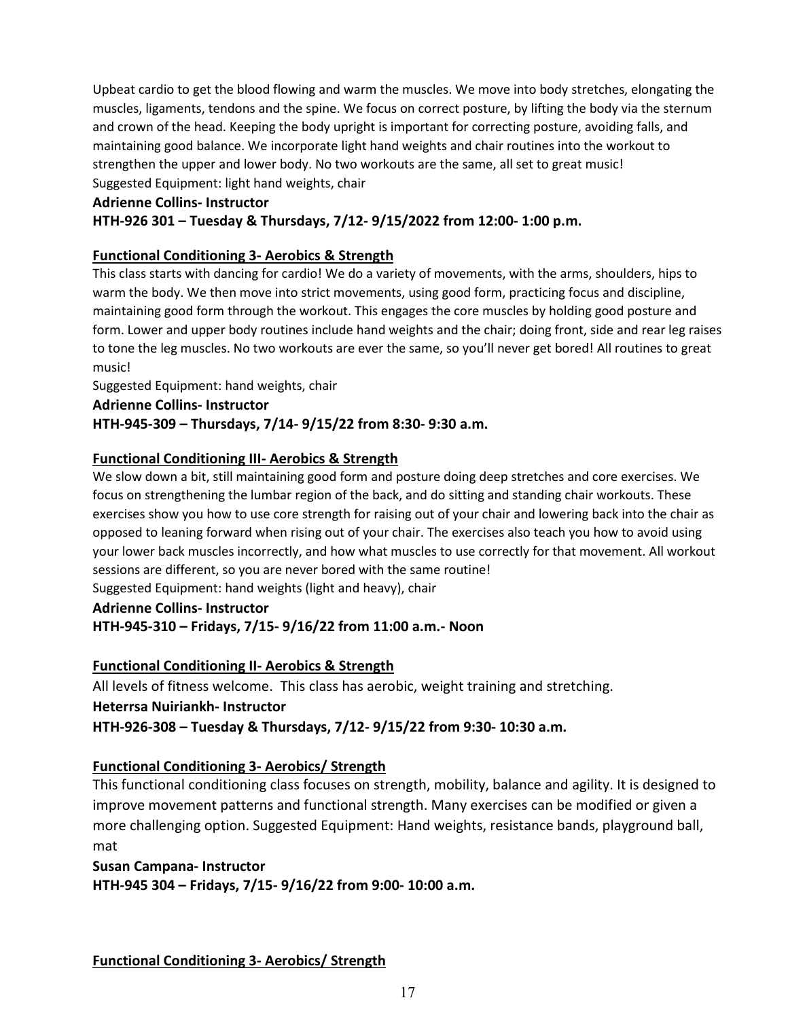Upbeat cardio to get the blood flowing and warm the muscles. We move into body stretches, elongating the muscles, ligaments, tendons and the spine. We focus on correct posture, by lifting the body via the sternum and crown of the head. Keeping the body upright is important for correcting posture, avoiding falls, and maintaining good balance. We incorporate light hand weights and chair routines into the workout to strengthen the upper and lower body. No two workouts are the same, all set to great music! Suggested Equipment: light hand weights, chair

#### **Adrienne Collins- Instructor**

#### **HTH-926 301 – Tuesday & Thursdays, 7/12- 9/15/2022 from 12:00- 1:00 p.m.**

#### **Functional Conditioning 3- Aerobics & Strength**

This class starts with dancing for cardio! We do a variety of movements, with the arms, shoulders, hips to warm the body. We then move into strict movements, using good form, practicing focus and discipline, maintaining good form through the workout. This engages the core muscles by holding good posture and form. Lower and upper body routines include hand weights and the chair; doing front, side and rear leg raises to tone the leg muscles. No two workouts are ever the same, so you'll never get bored! All routines to great music!

Suggested Equipment: hand weights, chair

**Adrienne Collins- Instructor**

#### **HTH-945-309 – Thursdays, 7/14- 9/15/22 from 8:30- 9:30 a.m.**

#### **Functional Conditioning III- Aerobics & Strength**

We slow down a bit, still maintaining good form and posture doing deep stretches and core exercises. We focus on strengthening the lumbar region of the back, and do sitting and standing chair workouts. These exercises show you how to use core strength for raising out of your chair and lowering back into the chair as opposed to leaning forward when rising out of your chair. The exercises also teach you how to avoid using your lower back muscles incorrectly, and how what muscles to use correctly for that movement. All workout sessions are different, so you are never bored with the same routine!

Suggested Equipment: hand weights (light and heavy), chair

#### **Adrienne Collins- Instructor**

#### **HTH-945-310 – Fridays, 7/15- 9/16/22 from 11:00 a.m.- Noon**

#### **Functional Conditioning II- Aerobics & Strength**

All levels of fitness welcome. This class has aerobic, weight training and stretching. **Heterrsa Nuiriankh- Instructor HTH-926-308 – Tuesday & Thursdays, 7/12- 9/15/22 from 9:30- 10:30 a.m.** 

#### **Functional Conditioning 3- Aerobics/ Strength**

This functional conditioning class focuses on strength, mobility, balance and agility. It is designed to improve movement patterns and functional strength. Many exercises can be modified or given a more challenging option. Suggested Equipment: Hand weights, resistance bands, playground ball, mat

**Susan Campana- Instructor HTH-945 304 – Fridays, 7/15- 9/16/22 from 9:00- 10:00 a.m.** 

**Functional Conditioning 3- Aerobics/ Strength**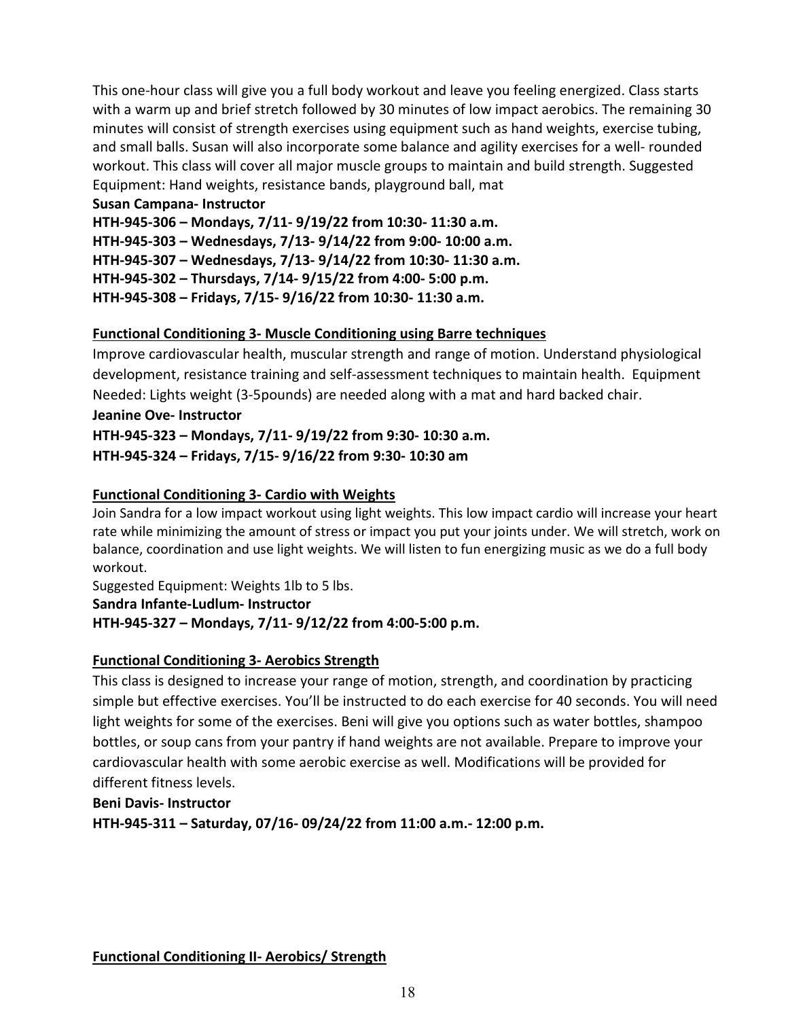This one-hour class will give you a full body workout and leave you feeling energized. Class starts with a warm up and brief stretch followed by 30 minutes of low impact aerobics. The remaining 30 minutes will consist of strength exercises using equipment such as hand weights, exercise tubing, and small balls. Susan will also incorporate some balance and agility exercises for a well- rounded workout. This class will cover all major muscle groups to maintain and build strength. Suggested Equipment: Hand weights, resistance bands, playground ball, mat

#### **Susan Campana- Instructor**

**HTH-945-306 – Mondays, 7/11- 9/19/22 from 10:30- 11:30 a.m.** 

**HTH-945-303 – Wednesdays, 7/13- 9/14/22 from 9:00- 10:00 a.m.** 

**HTH-945-307 – Wednesdays, 7/13- 9/14/22 from 10:30- 11:30 a.m.** 

**HTH-945-302 – Thursdays, 7/14- 9/15/22 from 4:00- 5:00 p.m.** 

**HTH-945-308 – Fridays, 7/15- 9/16/22 from 10:30- 11:30 a.m.** 

# **Functional Conditioning 3- Muscle Conditioning using Barre techniques**

Improve cardiovascular health, muscular strength and range of motion. Understand physiological development, resistance training and self-assessment techniques to maintain health. Equipment Needed: Lights weight (3-5pounds) are needed along with a mat and hard backed chair.

# **Jeanine Ove- Instructor**

**HTH-945-323 – Mondays, 7/11- 9/19/22 from 9:30- 10:30 a.m.** 

**HTH-945-324 – Fridays, 7/15- 9/16/22 from 9:30- 10:30 am**

# **Functional Conditioning 3- Cardio with Weights**

Join Sandra for a low impact workout using light weights. This low impact cardio will increase your heart rate while minimizing the amount of stress or impact you put your joints under. We will stretch, work on balance, coordination and use light weights. We will listen to fun energizing music as we do a full body workout.

Suggested Equipment: Weights 1lb to 5 lbs.

**Sandra Infante-Ludlum- Instructor**

# **HTH-945-327 – Mondays, 7/11- 9/12/22 from 4:00-5:00 p.m.**

# **Functional Conditioning 3- Aerobics Strength**

This class is designed to increase your range of motion, strength, and coordination by practicing simple but effective exercises. You'll be instructed to do each exercise for 40 seconds. You will need light weights for some of the exercises. Beni will give you options such as water bottles, shampoo bottles, or soup cans from your pantry if hand weights are not available. Prepare to improve your cardiovascular health with some aerobic exercise as well. Modifications will be provided for different fitness levels.

# **Beni Davis- Instructor**

**HTH-945-311 – Saturday, 07/16- 09/24/22 from 11:00 a.m.- 12:00 p.m.**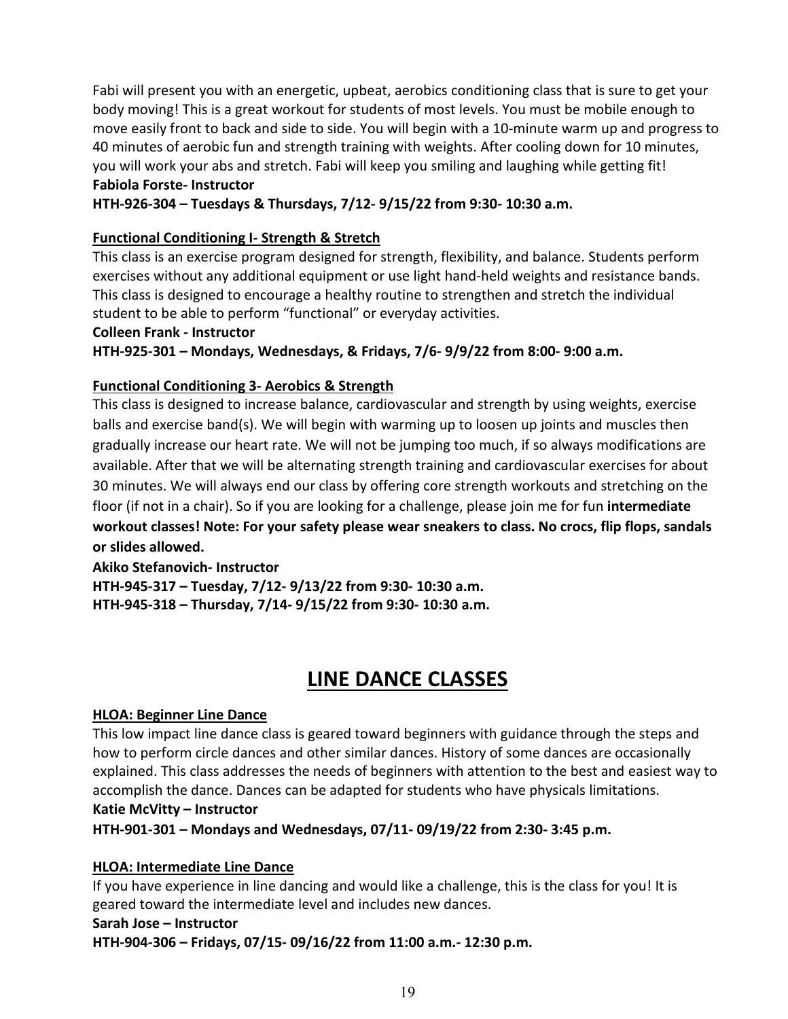Fabi will present you with an energetic, upbeat, aerobics conditioning class that is sure to get your body moving! This is a great workout for students of most levels. You must be mobile enough to move easily front to back and side to side. You will begin with a 10-minute warm up and progress to 40 minutes of aerobic fun and strength training with weights. After cooling down for 10 minutes, you will work your abs and stretch. Fabi will keep you smiling and laughing while getting fit! **Fabiola Forste- Instructor**

**HTH-926-304 – Tuesdays & Thursdays, 7/12- 9/15/22 from 9:30- 10:30 a.m.** 

# **Functional Conditioning I- Strength & Stretch**

This class is an exercise program designed for strength, flexibility, and balance. Students perform exercises without any additional equipment or use light hand-held weights and resistance bands. This class is designed to encourage a healthy routine to strengthen and stretch the individual student to be able to perform "functional" or everyday activities.

**Colleen Frank - Instructor**

**HTH-925-301 – Mondays, Wednesdays, & Fridays, 7/6- 9/9/22 from 8:00- 9:00 a.m.** 

# **Functional Conditioning 3- Aerobics & Strength**

This class is designed to increase balance, cardiovascular and strength by using weights, exercise balls and exercise band(s). We will begin with warming up to loosen up joints and muscles then gradually increase our heart rate. We will not be jumping too much, if so always modifications are available. After that we will be alternating strength training and cardiovascular exercises for about 30 minutes. We will always end our class by offering core strength workouts and stretching on the floor (if not in a chair). So if you are looking for a challenge, please join me for fun **intermediate workout classes! Note: For your safety please wear sneakers to class. No crocs, flip flops, sandals or slides allowed.**

**Akiko Stefanovich- Instructor HTH-945-317 – Tuesday, 7/12- 9/13/22 from 9:30- 10:30 a.m. HTH-945-318 – Thursday, 7/14- 9/15/22 from 9:30- 10:30 a.m.** 

# **LINE DANCE CLASSES**

# <span id="page-18-0"></span>**HLOA: Beginner Line Dance**

This low impact line dance class is geared toward beginners with guidance through the steps and how to perform circle dances and other similar dances. History of some dances are occasionally explained. This class addresses the needs of beginners with attention to the best and easiest way to accomplish the dance. Dances can be adapted for students who have physicals limitations. **Katie McVitty – Instructor**

# **HTH-901-301 – Mondays and Wednesdays, 07/11- 09/19/22 from 2:30- 3:45 p.m.**

# **HLOA: Intermediate Line Dance**

If you have experience in line dancing and would like a challenge, this is the class for you! It is geared toward the intermediate level and includes new dances.

#### **Sarah Jose – Instructor**

**HTH-904-306 – Fridays, 07/15- 09/16/22 from 11:00 a.m.- 12:30 p.m.**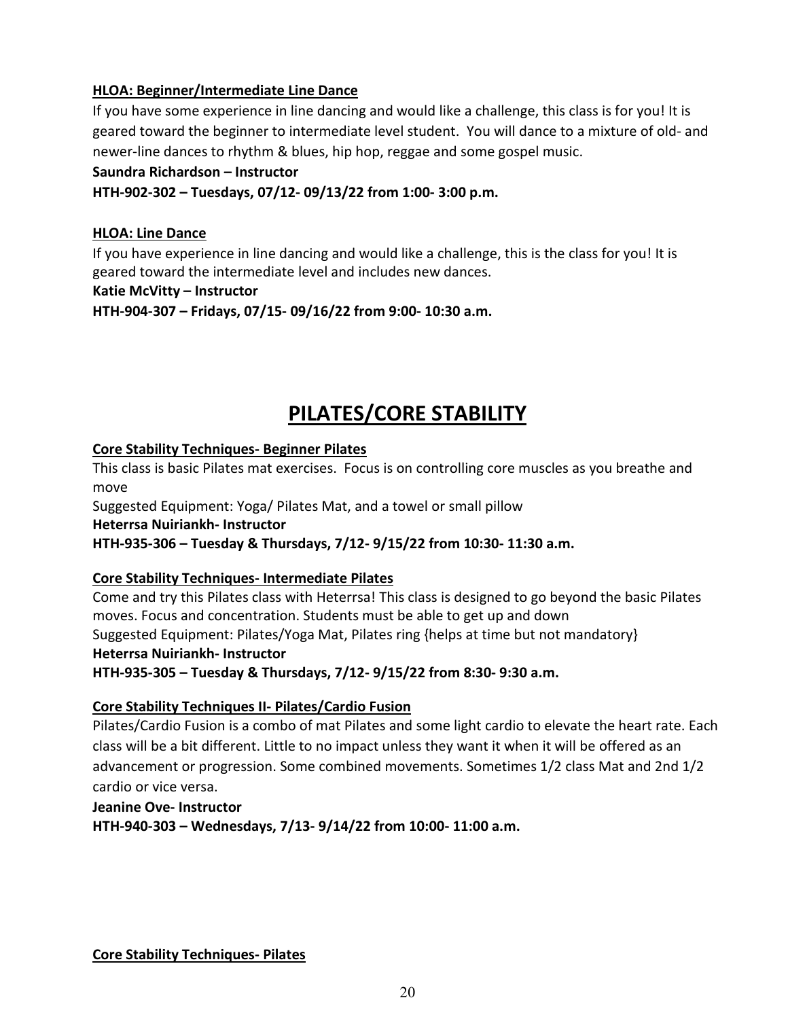# **HLOA: Beginner/Intermediate Line Dance**

If you have some experience in line dancing and would like a challenge, this class is for you! It is geared toward the beginner to intermediate level student. You will dance to a mixture of old- and newer-line dances to rhythm & blues, hip hop, reggae and some gospel music.

#### **Saundra Richardson – Instructor**

**HTH-902-302 – Tuesdays, 07/12- 09/13/22 from 1:00- 3:00 p.m.**

#### **HLOA: Line Dance**

If you have experience in line dancing and would like a challenge, this is the class for you! It is geared toward the intermediate level and includes new dances.

#### **Katie McVitty – Instructor**

**HTH-904-307 – Fridays, 07/15- 09/16/22 from 9:00- 10:30 a.m.**

# **PILATES/CORE STABILITY**

#### <span id="page-19-0"></span>**Core Stability Techniques- Beginner Pilates**

This class is basic Pilates mat exercises. Focus is on controlling core muscles as you breathe and move

Suggested Equipment: Yoga/ Pilates Mat, and a towel or small pillow

**Heterrsa Nuiriankh- Instructor**

**HTH-935-306 – Tuesday & Thursdays, 7/12- 9/15/22 from 10:30- 11:30 a.m.** 

# **Core Stability Techniques- Intermediate Pilates**

Come and try this Pilates class with Heterrsa! This class is designed to go beyond the basic Pilates moves. Focus and concentration. Students must be able to get up and down Suggested Equipment: Pilates/Yoga Mat, Pilates ring {helps at time but not mandatory} **Heterrsa Nuiriankh- Instructor HTH-935-305 – Tuesday & Thursdays, 7/12- 9/15/22 from 8:30- 9:30 a.m.** 

#### **Core Stability Techniques II- Pilates/Cardio Fusion**

Pilates/Cardio Fusion is a combo of mat Pilates and some light cardio to elevate the heart rate. Each class will be a bit different. Little to no impact unless they want it when it will be offered as an advancement or progression. Some combined movements. Sometimes 1/2 class Mat and 2nd 1/2 cardio or vice versa.

**Jeanine Ove- Instructor HTH-940-303 – Wednesdays, 7/13- 9/14/22 from 10:00- 11:00 a.m.** 

**Core Stability Techniques- Pilates**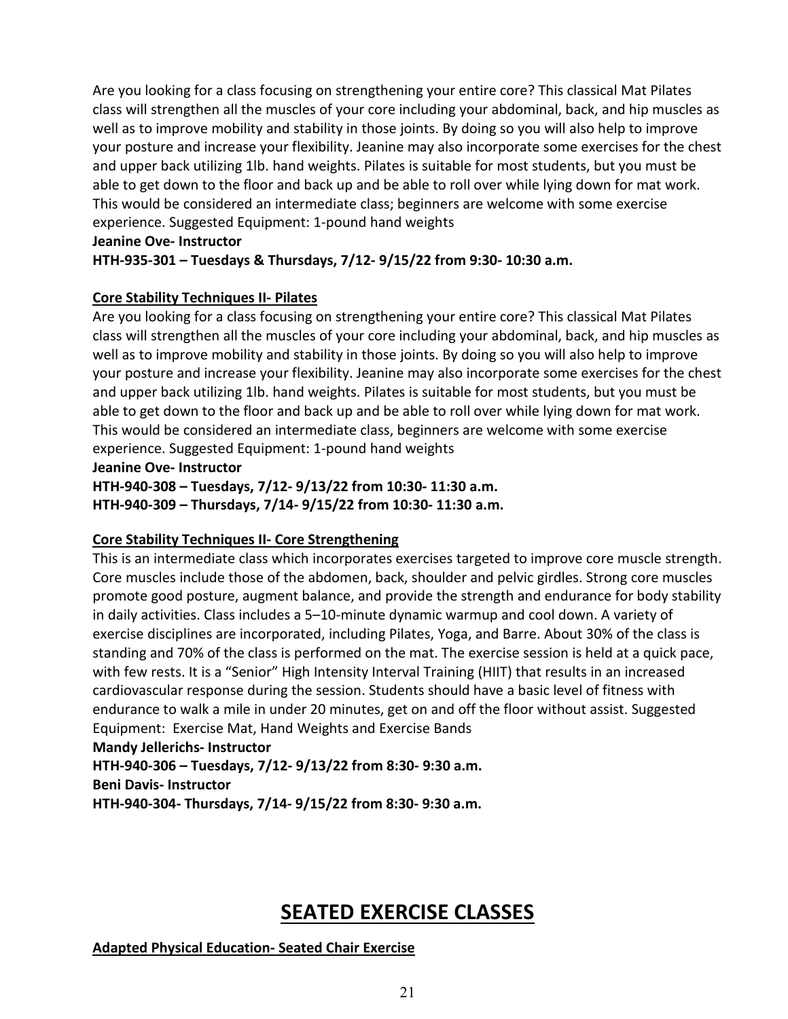Are you looking for a class focusing on strengthening your entire core? This classical Mat Pilates class will strengthen all the muscles of your core including your abdominal, back, and hip muscles as well as to improve mobility and stability in those joints. By doing so you will also help to improve your posture and increase your flexibility. Jeanine may also incorporate some exercises for the chest and upper back utilizing 1lb. hand weights. Pilates is suitable for most students, but you must be able to get down to the floor and back up and be able to roll over while lying down for mat work. This would be considered an intermediate class; beginners are welcome with some exercise experience. Suggested Equipment: 1-pound hand weights

#### **Jeanine Ove- Instructor**

#### **HTH-935-301 – Tuesdays & Thursdays, 7/12- 9/15/22 from 9:30- 10:30 a.m.**

#### **Core Stability Techniques II- Pilates**

Are you looking for a class focusing on strengthening your entire core? This classical Mat Pilates class will strengthen all the muscles of your core including your abdominal, back, and hip muscles as well as to improve mobility and stability in those joints. By doing so you will also help to improve your posture and increase your flexibility. Jeanine may also incorporate some exercises for the chest and upper back utilizing 1lb. hand weights. Pilates is suitable for most students, but you must be able to get down to the floor and back up and be able to roll over while lying down for mat work. This would be considered an intermediate class, beginners are welcome with some exercise experience. Suggested Equipment: 1-pound hand weights

#### **Jeanine Ove- Instructor**

**HTH-940-308 – Tuesdays, 7/12- 9/13/22 from 10:30- 11:30 a.m. HTH-940-309 – Thursdays, 7/14- 9/15/22 from 10:30- 11:30 a.m.** 

# **Core Stability Techniques II- Core Strengthening**

This is an intermediate class which incorporates exercises targeted to improve core muscle strength. Core muscles include those of the abdomen, back, shoulder and pelvic girdles. Strong core muscles promote good posture, augment balance, and provide the strength and endurance for body stability in daily activities. Class includes a 5–10-minute dynamic warmup and cool down. A variety of exercise disciplines are incorporated, including Pilates, Yoga, and Barre. About 30% of the class is standing and 70% of the class is performed on the mat. The exercise session is held at a quick pace, with few rests. It is a "Senior" High Intensity Interval Training (HIIT) that results in an increased cardiovascular response during the session. Students should have a basic level of fitness with endurance to walk a mile in under 20 minutes, get on and off the floor without assist. Suggested Equipment: Exercise Mat, Hand Weights and Exercise Bands

#### **Mandy Jellerichs- Instructor**

**HTH-940-306 – Tuesdays, 7/12- 9/13/22 from 8:30- 9:30 a.m. Beni Davis- Instructor**

**HTH-940-304- Thursdays, 7/14- 9/15/22 from 8:30- 9:30 a.m.** 

# **SEATED EXERCISE CLASSES**

# <span id="page-20-0"></span>**Adapted Physical Education- Seated Chair Exercise**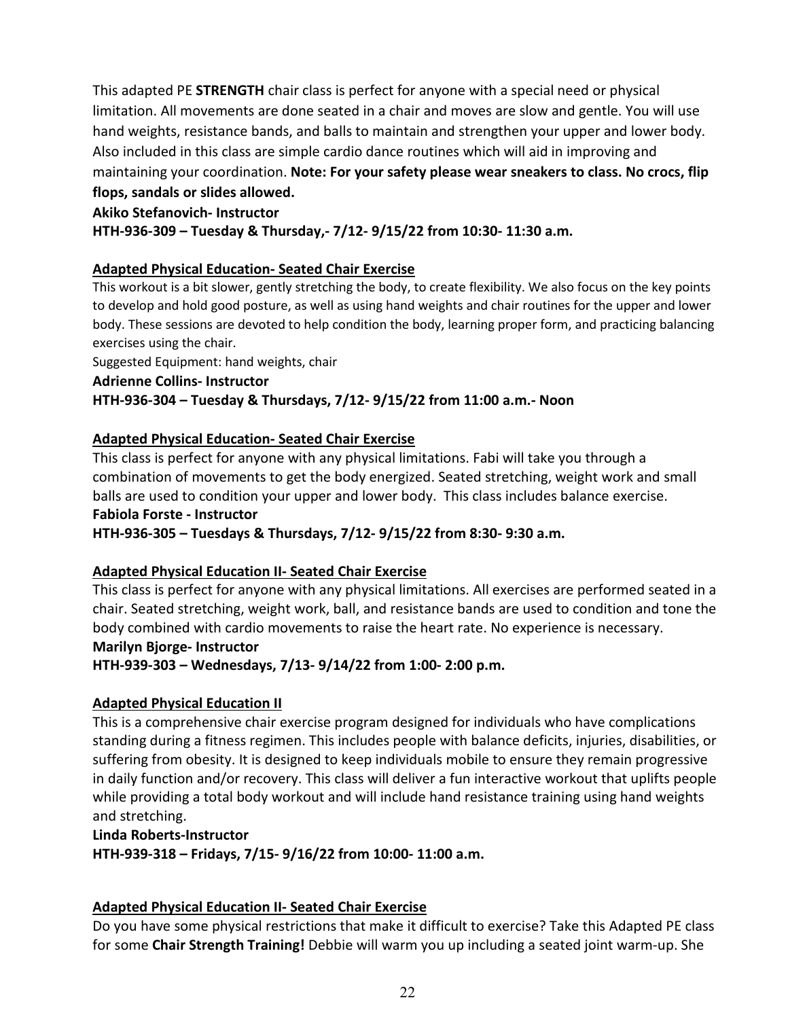This adapted PE **STRENGTH** chair class is perfect for anyone with a special need or physical limitation. All movements are done seated in a chair and moves are slow and gentle. You will use hand weights, resistance bands, and balls to maintain and strengthen your upper and lower body. Also included in this class are simple cardio dance routines which will aid in improving and maintaining your coordination. **Note: For your safety please wear sneakers to class. No crocs, flip flops, sandals or slides allowed.**

# **Akiko Stefanovich- Instructor**

**HTH-936-309 – Tuesday & Thursday,- 7/12- 9/15/22 from 10:30- 11:30 a.m.** 

# **Adapted Physical Education- Seated Chair Exercise**

This workout is a bit slower, gently stretching the body, to create flexibility. We also focus on the key points to develop and hold good posture, as well as using hand weights and chair routines for the upper and lower body. These sessions are devoted to help condition the body, learning proper form, and practicing balancing exercises using the chair.

Suggested Equipment: hand weights, chair

**Adrienne Collins- Instructor**

# **HTH-936-304 – Tuesday & Thursdays, 7/12- 9/15/22 from 11:00 a.m.- Noon**

#### **Adapted Physical Education- Seated Chair Exercise**

This class is perfect for anyone with any physical limitations. Fabi will take you through a combination of movements to get the body energized. Seated stretching, weight work and small balls are used to condition your upper and lower body. This class includes balance exercise. **Fabiola Forste - Instructor**

**HTH-936-305 – Tuesdays & Thursdays, 7/12- 9/15/22 from 8:30- 9:30 a.m.** 

# **Adapted Physical Education II- Seated Chair Exercise**

This class is perfect for anyone with any physical limitations. All exercises are performed seated in a chair. Seated stretching, weight work, ball, and resistance bands are used to condition and tone the body combined with cardio movements to raise the heart rate. No experience is necessary. **Marilyn Bjorge- Instructor**

**HTH-939-303 – Wednesdays, 7/13- 9/14/22 from 1:00- 2:00 p.m.** 

# **Adapted Physical Education II**

This is a comprehensive chair exercise program designed for individuals who have complications standing during a fitness regimen. This includes people with balance deficits, injuries, disabilities, or suffering from obesity. It is designed to keep individuals mobile to ensure they remain progressive in daily function and/or recovery. This class will deliver a fun interactive workout that uplifts people while providing a total body workout and will include hand resistance training using hand weights and stretching.

#### **Linda Roberts-Instructor**

**HTH-939-318 – Fridays, 7/15- 9/16/22 from 10:00- 11:00 a.m.** 

#### **Adapted Physical Education II- Seated Chair Exercise**

Do you have some physical restrictions that make it difficult to exercise? Take this Adapted PE class for some **Chair Strength Training!** Debbie will warm you up including a seated joint warm-up. She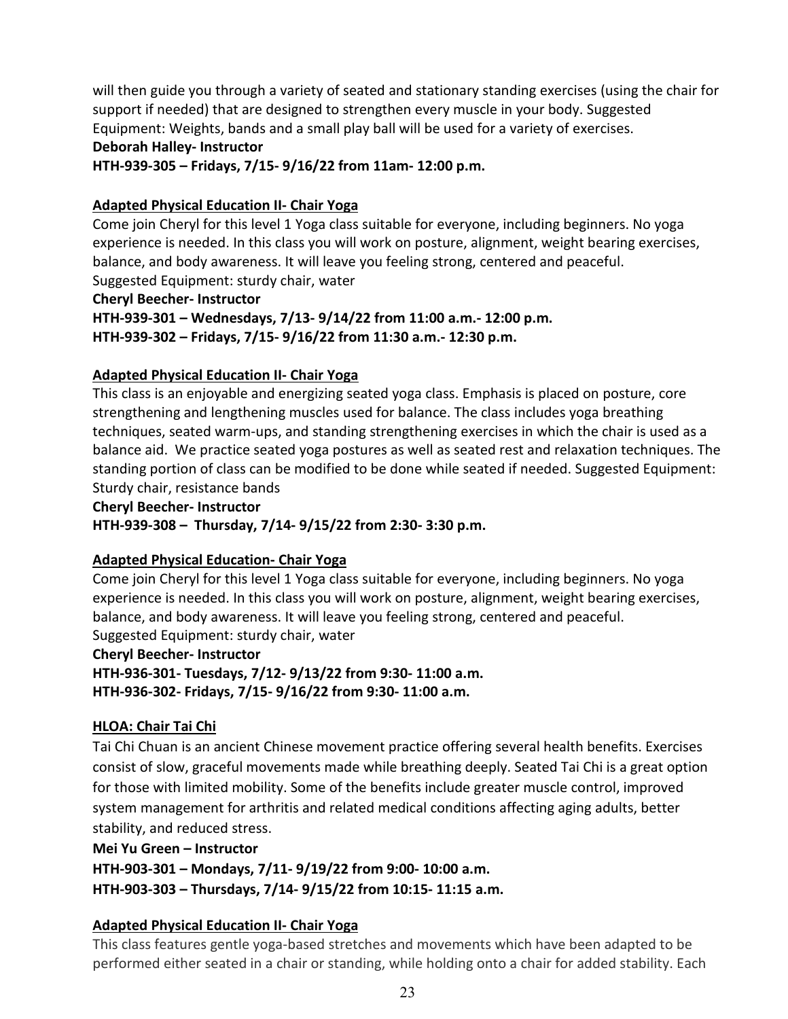will then guide you through a variety of seated and stationary standing exercises (using the chair for support if needed) that are designed to strengthen every muscle in your body. Suggested Equipment: Weights, bands and a small play ball will be used for a variety of exercises. **Deborah Halley- Instructor**

**HTH-939-305 – Fridays, 7/15- 9/16/22 from 11am- 12:00 p.m.** 

# **Adapted Physical Education II- Chair Yoga**

Come join Cheryl for this level 1 Yoga class suitable for everyone, including beginners. No yoga experience is needed. In this class you will work on posture, alignment, weight bearing exercises, balance, and body awareness. It will leave you feeling strong, centered and peaceful. Suggested Equipment: sturdy chair, water

**Cheryl Beecher- Instructor HTH-939-301 – Wednesdays, 7/13- 9/14/22 from 11:00 a.m.- 12:00 p.m. HTH-939-302 – Fridays, 7/15- 9/16/22 from 11:30 a.m.- 12:30 p.m.** 

# **Adapted Physical Education II- Chair Yoga**

This class is an enjoyable and energizing seated yoga class. Emphasis is placed on posture, core strengthening and lengthening muscles used for balance. The class includes yoga breathing techniques, seated warm-ups, and standing strengthening exercises in which the chair is used as a balance aid. We practice seated yoga postures as well as seated rest and relaxation techniques. The standing portion of class can be modified to be done while seated if needed. Suggested Equipment: Sturdy chair, resistance bands

**Cheryl Beecher- Instructor**

**HTH-939-308 – Thursday, 7/14- 9/15/22 from 2:30- 3:30 p.m.** 

# **Adapted Physical Education- Chair Yoga**

Come join Cheryl for this level 1 Yoga class suitable for everyone, including beginners. No yoga experience is needed. In this class you will work on posture, alignment, weight bearing exercises, balance, and body awareness. It will leave you feeling strong, centered and peaceful. Suggested Equipment: sturdy chair, water

**Cheryl Beecher- Instructor**

**HTH-936-301- Tuesdays, 7/12- 9/13/22 from 9:30- 11:00 a.m. HTH-936-302- Fridays, 7/15- 9/16/22 from 9:30- 11:00 a.m.** 

# **HLOA: Chair Tai Chi**

Tai Chi Chuan is an ancient Chinese movement practice offering several health benefits. Exercises consist of slow, graceful movements made while breathing deeply. Seated Tai Chi is a great option for those with limited mobility. Some of the benefits include greater muscle control, improved system management for arthritis and related medical conditions affecting aging adults, better stability, and reduced stress.

**Mei Yu Green – Instructor**

**HTH-903-301 – Mondays, 7/11- 9/19/22 from 9:00- 10:00 a.m.**

**HTH-903-303 – Thursdays, 7/14- 9/15/22 from 10:15- 11:15 a.m.**

# **Adapted Physical Education II- Chair Yoga**

This class features gentle yoga-based stretches and movements which have been adapted to be performed either seated in a chair or standing, while holding onto a chair for added stability. Each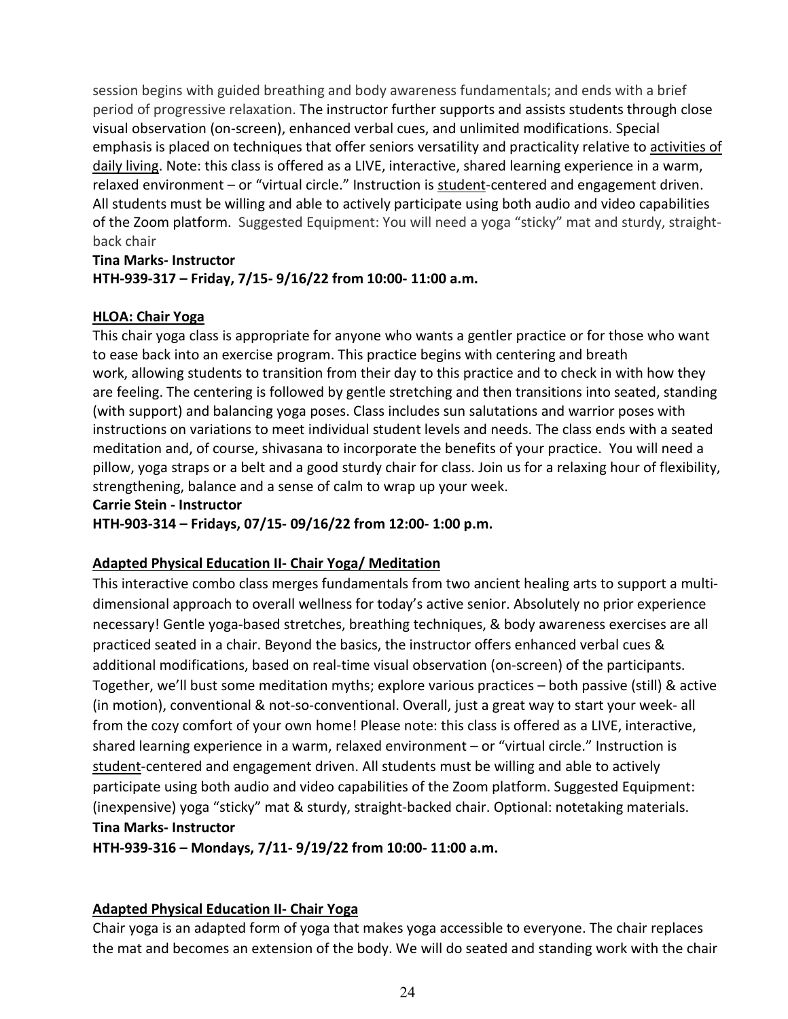session begins with guided breathing and body awareness fundamentals; and ends with a brief period of progressive relaxation. The instructor further supports and assists students through close visual observation (on-screen), enhanced verbal cues, and unlimited modifications. Special emphasis is placed on techniques that offer seniors versatility and practicality relative to activities of daily living. Note: this class is offered as a LIVE, interactive, shared learning experience in a warm, relaxed environment – or "virtual circle." Instruction is student-centered and engagement driven. All students must be willing and able to actively participate using both audio and video capabilities of the Zoom platform. Suggested Equipment: You will need a yoga "sticky" mat and sturdy, straightback chair

# **Tina Marks- Instructor HTH-939-317 – Friday, 7/15- 9/16/22 from 10:00- 11:00 a.m.**

# **HLOA: Chair Yoga**

This chair yoga class is appropriate for anyone who wants a gentler practice or for those who want to ease back into an exercise program. This practice begins with centering and breath work, allowing students to transition from their day to this practice and to check in with how they are feeling. The centering is followed by gentle stretching and then transitions into seated, standing (with support) and balancing yoga poses. Class includes sun salutations and warrior poses with instructions on variations to meet individual student levels and needs. The class ends with a seated meditation and, of course, shivasana to incorporate the benefits of your practice. You will need a pillow, yoga straps or a belt and a good sturdy chair for class. Join us for a relaxing hour of flexibility, strengthening, balance and a sense of calm to wrap up your week.

#### **Carrie Stein - Instructor**

**HTH-903-314 – Fridays, 07/15- 09/16/22 from 12:00- 1:00 p.m.** 

# **Adapted Physical Education II- Chair Yoga/ Meditation**

This interactive combo class merges fundamentals from two ancient healing arts to support a multidimensional approach to overall wellness for today's active senior. Absolutely no prior experience necessary! Gentle yoga-based stretches, breathing techniques, & body awareness exercises are all practiced seated in a chair. Beyond the basics, the instructor offers enhanced verbal cues & additional modifications, based on real-time visual observation (on-screen) of the participants. Together, we'll bust some meditation myths; explore various practices – both passive (still) & active (in motion), conventional & not-so-conventional. Overall, just a great way to start your week- all from the cozy comfort of your own home! Please note: this class is offered as a LIVE, interactive, shared learning experience in a warm, relaxed environment – or "virtual circle." Instruction is student-centered and engagement driven. All students must be willing and able to actively participate using both audio and video capabilities of the Zoom platform. Suggested Equipment: (inexpensive) yoga "sticky" mat & sturdy, straight-backed chair. Optional: notetaking materials. **Tina Marks- Instructor**

**HTH-939-316 – Mondays, 7/11- 9/19/22 from 10:00- 11:00 a.m.** 

# **Adapted Physical Education II- Chair Yoga**

Chair yoga is an adapted form of yoga that makes yoga accessible to everyone. The chair replaces the mat and becomes an extension of the body. We will do seated and standing work with the chair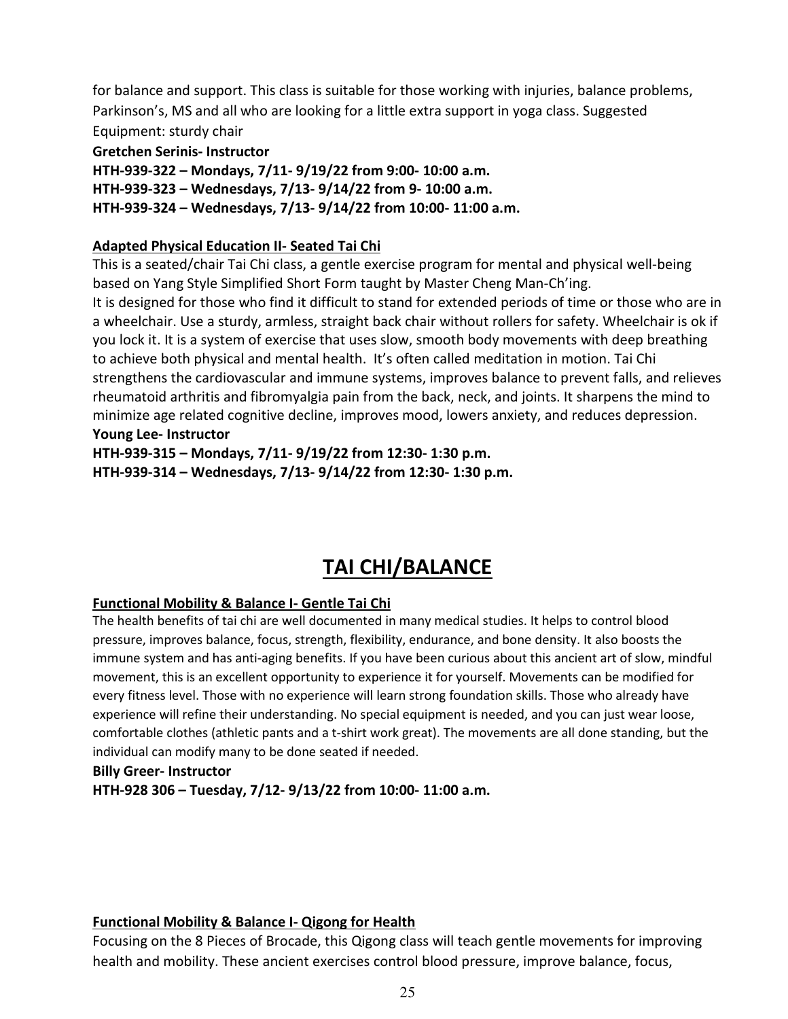for balance and support. This class is suitable for those working with injuries, balance problems, Parkinson's, MS and all who are looking for a little extra support in yoga class. Suggested Equipment: sturdy chair

#### **Gretchen Serinis- Instructor**

**HTH-939-322 – Mondays, 7/11- 9/19/22 from 9:00- 10:00 a.m. HTH-939-323 – Wednesdays, 7/13- 9/14/22 from 9- 10:00 a.m.** 

# **HTH-939-324 – Wednesdays, 7/13- 9/14/22 from 10:00- 11:00 a.m.**

# **Adapted Physical Education II- Seated Tai Chi**

This is a seated/chair Tai Chi class, a gentle exercise program for mental and physical well-being based on Yang Style Simplified Short Form taught by Master Cheng Man-Ch'ing. It is designed for those who find it difficult to stand for extended periods of time or those who are in a wheelchair. Use a sturdy, armless, straight back chair without rollers for safety. Wheelchair is ok if you lock it. It is a system of exercise that uses slow, smooth body movements with deep breathing to achieve both physical and mental health. It's often called meditation in motion. Tai Chi strengthens the cardiovascular and immune systems, improves balance to prevent falls, and relieves rheumatoid arthritis and fibromyalgia pain from the back, neck, and joints. It sharpens the mind to minimize age related cognitive decline, improves mood, lowers anxiety, and reduces depression. **Young Lee- Instructor**

**HTH-939-315 – Mondays, 7/11- 9/19/22 from 12:30- 1:30 p.m. HTH-939-314 – Wednesdays, 7/13- 9/14/22 from 12:30- 1:30 p.m.**

# **TAI CHI/BALANCE**

# <span id="page-24-0"></span>**Functional Mobility & Balance I- Gentle Tai Chi**

The health benefits of tai chi are well documented in many medical studies. It helps to control blood pressure, improves balance, focus, strength, flexibility, endurance, and bone density. It also boosts the immune system and has anti-aging benefits. If you have been curious about this ancient art of slow, mindful movement, this is an excellent opportunity to experience it for yourself. Movements can be modified for every fitness level. Those with no experience will learn strong foundation skills. Those who already have experience will refine their understanding. No special equipment is needed, and you can just wear loose, comfortable clothes (athletic pants and a t-shirt work great). The movements are all done standing, but the individual can modify many to be done seated if needed.

#### **Billy Greer- Instructor**

**HTH-928 306 – Tuesday, 7/12- 9/13/22 from 10:00- 11:00 a.m.** 

# **Functional Mobility & Balance I- Qigong for Health**

Focusing on the 8 Pieces of Brocade, this Qigong class will teach gentle movements for improving health and mobility. These ancient exercises control blood pressure, improve balance, focus,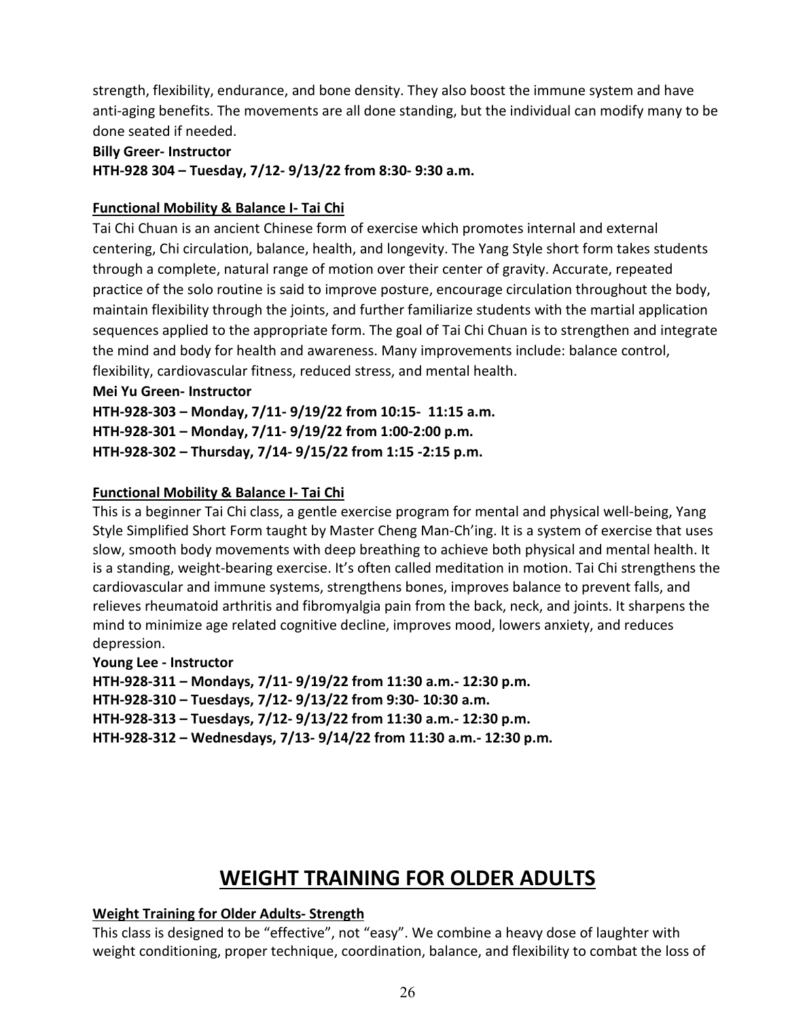strength, flexibility, endurance, and bone density. They also boost the immune system and have anti-aging benefits. The movements are all done standing, but the individual can modify many to be done seated if needed.

#### **Billy Greer- Instructor**

**HTH-928 304 – Tuesday, 7/12- 9/13/22 from 8:30- 9:30 a.m.** 

# **Functional Mobility & Balance I- Tai Chi**

Tai Chi Chuan is an ancient Chinese form of exercise which promotes internal and external centering, Chi circulation, balance, health, and longevity. The Yang Style short form takes students through a complete, natural range of motion over their center of gravity. Accurate, repeated practice of the solo routine is said to improve posture, encourage circulation throughout the body, maintain flexibility through the joints, and further familiarize students with the martial application sequences applied to the appropriate form. The goal of Tai Chi Chuan is to strengthen and integrate the mind and body for health and awareness. Many improvements include: balance control, flexibility, cardiovascular fitness, reduced stress, and mental health.

#### **Mei Yu Green- Instructor**

**HTH-928-303 – Monday, 7/11- 9/19/22 from 10:15- 11:15 a.m.**

**HTH-928-301 – Monday, 7/11- 9/19/22 from 1:00-2:00 p.m.**

**HTH-928-302 – Thursday, 7/14- 9/15/22 from 1:15 -2:15 p.m.**

# **Functional Mobility & Balance I- Tai Chi**

This is a beginner Tai Chi class, a gentle exercise program for mental and physical well-being, Yang Style Simplified Short Form taught by Master Cheng Man-Ch'ing. It is a system of exercise that uses slow, smooth body movements with deep breathing to achieve both physical and mental health. It is a standing, weight-bearing exercise. It's often called meditation in motion. Tai Chi strengthens the cardiovascular and immune systems, strengthens bones, improves balance to prevent falls, and relieves rheumatoid arthritis and fibromyalgia pain from the back, neck, and joints. It sharpens the mind to minimize age related cognitive decline, improves mood, lowers anxiety, and reduces depression.

# **Young Lee - Instructor**

**HTH-928-311 – Mondays, 7/11- 9/19/22 from 11:30 a.m.- 12:30 p.m.** 

**HTH-928-310 – Tuesdays, 7/12- 9/13/22 from 9:30- 10:30 a.m.** 

**HTH-928-313 – Tuesdays, 7/12- 9/13/22 from 11:30 a.m.- 12:30 p.m.** 

**HTH-928-312 – Wednesdays, 7/13- 9/14/22 from 11:30 a.m.- 12:30 p.m.** 

# **WEIGHT TRAINING FOR OLDER ADULTS**

# <span id="page-25-0"></span>**Weight Training for Older Adults- Strength**

This class is designed to be "effective", not "easy". We combine a heavy dose of laughter with weight conditioning, proper technique, coordination, balance, and flexibility to combat the loss of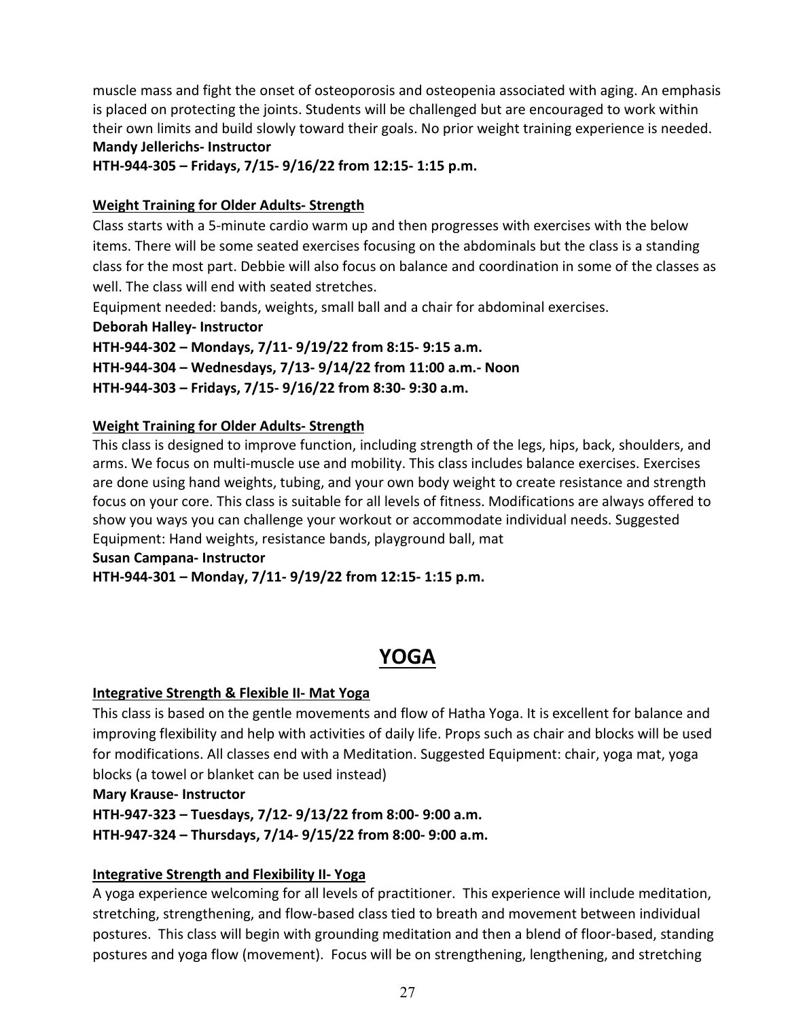muscle mass and fight the onset of osteoporosis and osteopenia associated with aging. An emphasis is placed on protecting the joints. Students will be challenged but are encouraged to work within their own limits and build slowly toward their goals. No prior weight training experience is needed. **Mandy Jellerichs- Instructor**

**HTH-944-305 – Fridays, 7/15- 9/16/22 from 12:15- 1:15 p.m.** 

#### **Weight Training for Older Adults- Strength**

Class starts with a 5-minute cardio warm up and then progresses with exercises with the below items. There will be some seated exercises focusing on the abdominals but the class is a standing class for the most part. Debbie will also focus on balance and coordination in some of the classes as well. The class will end with seated stretches.

Equipment needed: bands, weights, small ball and a chair for abdominal exercises.

**Deborah Halley- Instructor**

**HTH-944-302 – Mondays, 7/11- 9/19/22 from 8:15- 9:15 a.m. HTH-944-304 – Wednesdays, 7/13- 9/14/22 from 11:00 a.m.- Noon HTH-944-303 – Fridays, 7/15- 9/16/22 from 8:30- 9:30 a.m.** 

#### **Weight Training for Older Adults- Strength**

This class is designed to improve function, including strength of the legs, hips, back, shoulders, and arms. We focus on multi-muscle use and mobility. This class includes balance exercises. Exercises are done using hand weights, tubing, and your own body weight to create resistance and strength focus on your core. This class is suitable for all levels of fitness. Modifications are always offered to show you ways you can challenge your workout or accommodate individual needs. Suggested Equipment: Hand weights, resistance bands, playground ball, mat

#### **Susan Campana- Instructor**

**HTH-944-301 – Monday, 7/11- 9/19/22 from 12:15- 1:15 p.m.** 

# **YOGA**

#### <span id="page-26-0"></span>**Integrative Strength & Flexible II- Mat Yoga**

This class is based on the gentle movements and flow of Hatha Yoga. It is excellent for balance and improving flexibility and help with activities of daily life. Props such as chair and blocks will be used for modifications. All classes end with a Meditation. Suggested Equipment: chair, yoga mat, yoga blocks (a towel or blanket can be used instead)

#### **Mary Krause- Instructor**

**HTH-947-323 – Tuesdays, 7/12- 9/13/22 from 8:00- 9:00 a.m.** 

**HTH-947-324 – Thursdays, 7/14- 9/15/22 from 8:00- 9:00 a.m.** 

#### **Integrative Strength and Flexibility II- Yoga**

A yoga experience welcoming for all levels of practitioner. This experience will include meditation, stretching, strengthening, and flow-based class tied to breath and movement between individual postures. This class will begin with grounding meditation and then a blend of floor-based, standing postures and yoga flow (movement). Focus will be on strengthening, lengthening, and stretching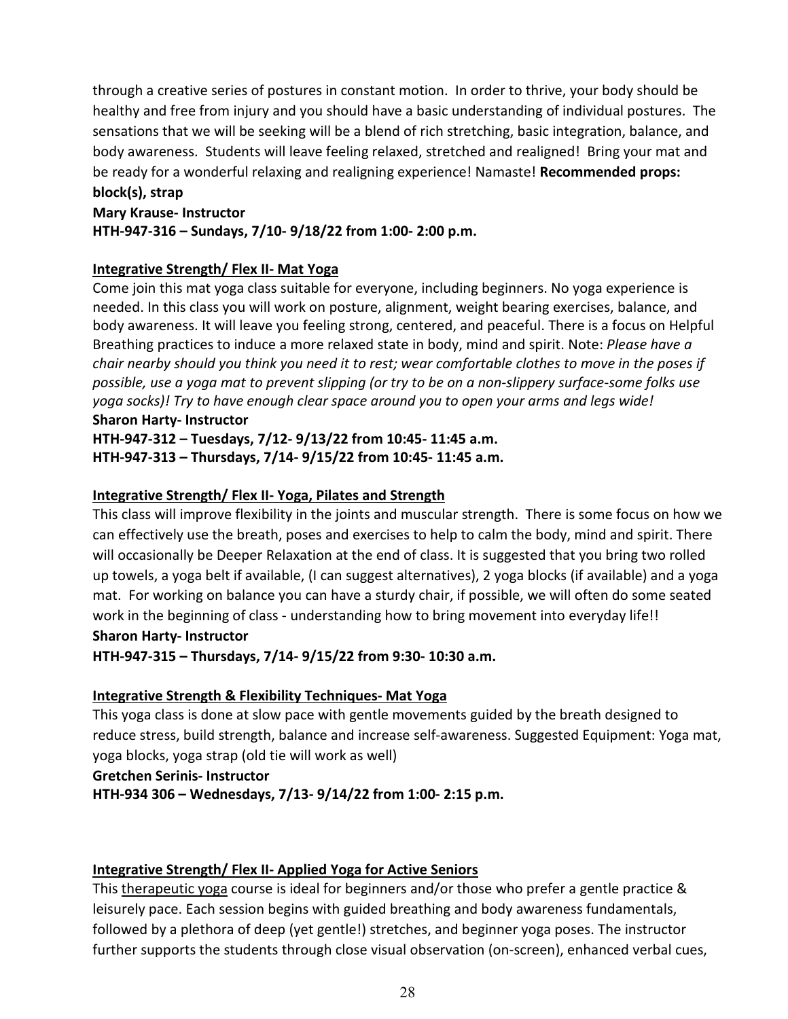through a creative series of postures in constant motion. In order to thrive, your body should be healthy and free from injury and you should have a basic understanding of individual postures. The sensations that we will be seeking will be a blend of rich stretching, basic integration, balance, and body awareness. Students will leave feeling relaxed, stretched and realigned! Bring your mat and be ready for a wonderful relaxing and realigning experience! Namaste! **Recommended props: block(s), strap**

# **Mary Krause- Instructor HTH-947-316 – Sundays, 7/10- 9/18/22 from 1:00- 2:00 p.m.**

# **Integrative Strength/ Flex II- Mat Yoga**

Come join this mat yoga class suitable for everyone, including beginners. No yoga experience is needed. In this class you will work on posture, alignment, weight bearing exercises, balance, and body awareness. It will leave you feeling strong, centered, and peaceful. There is a focus on Helpful Breathing practices to induce a more relaxed state in body, mind and spirit. Note: *Please have a chair nearby should you think you need it to rest; wear comfortable clothes to move in the poses if possible, use a yoga mat to prevent slipping (or try to be on a non-slippery surface-some folks use yoga socks)! Try to have enough clear space around you to open your arms and legs wide!* **Sharon Harty- Instructor**

# **HTH-947-312 – Tuesdays, 7/12- 9/13/22 from 10:45- 11:45 a.m. HTH-947-313 – Thursdays, 7/14- 9/15/22 from 10:45- 11:45 a.m.**

# **Integrative Strength/ Flex II- Yoga, Pilates and Strength**

This class will improve flexibility in the joints and muscular strength. There is some focus on how we can effectively use the breath, poses and exercises to help to calm the body, mind and spirit. There will occasionally be Deeper Relaxation at the end of class. It is suggested that you bring two rolled up towels, a yoga belt if available, (I can suggest alternatives), 2 yoga blocks (if available) and a yoga mat. For working on balance you can have a sturdy chair, if possible, we will often do some seated work in the beginning of class - understanding how to bring movement into everyday life!! **Sharon Harty- Instructor**

# **HTH-947-315 – Thursdays, 7/14- 9/15/22 from 9:30- 10:30 a.m.**

# **Integrative Strength & Flexibility Techniques- Mat Yoga**

This yoga class is done at slow pace with gentle movements guided by the breath designed to reduce stress, build strength, balance and increase self-awareness. Suggested Equipment: Yoga mat, yoga blocks, yoga strap (old tie will work as well)

#### **Gretchen Serinis- Instructor**

**HTH-934 306 – Wednesdays, 7/13- 9/14/22 from 1:00- 2:15 p.m.** 

# **Integrative Strength/ Flex II- Applied Yoga for Active Seniors**

This therapeutic yoga course is ideal for beginners and/or those who prefer a gentle practice & leisurely pace. Each session begins with guided breathing and body awareness fundamentals, followed by a plethora of deep (yet gentle!) stretches, and beginner yoga poses. The instructor further supports the students through close visual observation (on-screen), enhanced verbal cues,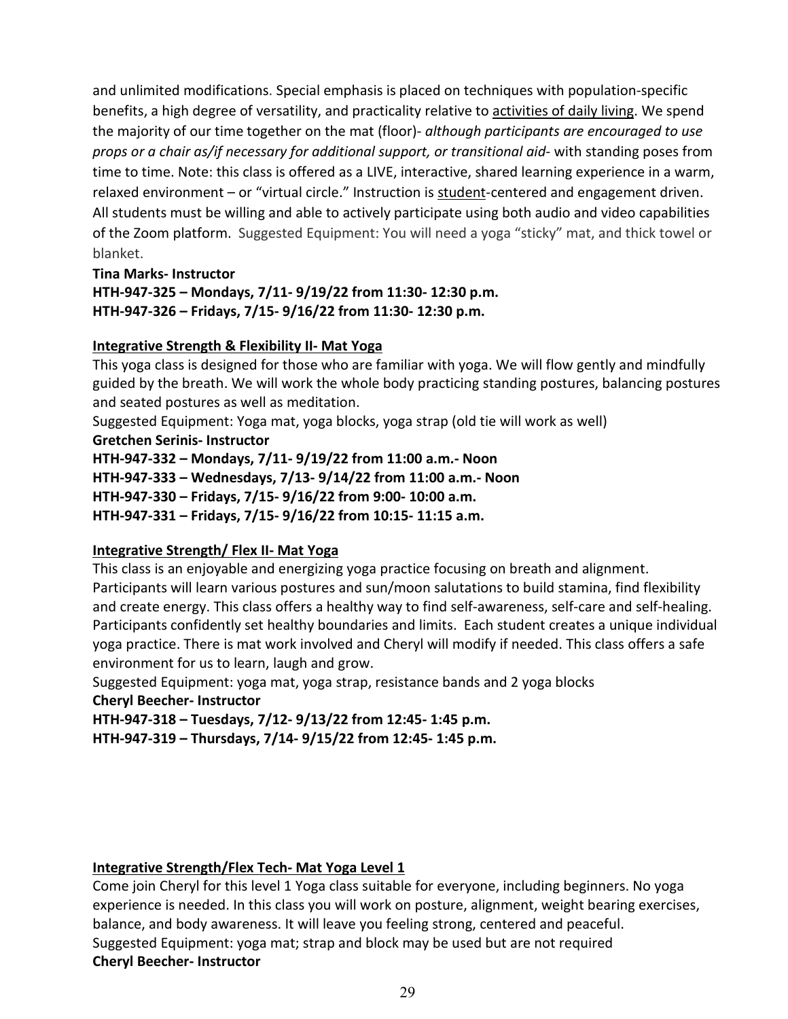and unlimited modifications. Special emphasis is placed on techniques with population-specific benefits, a high degree of versatility, and practicality relative to activities of daily living. We spend the majority of our time together on the mat (floor)- *although participants are encouraged to use props or a chair as/if necessary for additional support, or transitional aid*- with standing poses from time to time. Note: this class is offered as a LIVE, interactive, shared learning experience in a warm, relaxed environment – or "virtual circle." Instruction is student-centered and engagement driven. All students must be willing and able to actively participate using both audio and video capabilities of the Zoom platform. Suggested Equipment: You will need a yoga "sticky" mat, and thick towel or blanket.

**Tina Marks- Instructor HTH-947-325 – Mondays, 7/11- 9/19/22 from 11:30- 12:30 p.m. HTH-947-326 – Fridays, 7/15- 9/16/22 from 11:30- 12:30 p.m.** 

#### **Integrative Strength & Flexibility II- Mat Yoga**

This yoga class is designed for those who are familiar with yoga. We will flow gently and mindfully guided by the breath. We will work the whole body practicing standing postures, balancing postures and seated postures as well as meditation.

Suggested Equipment: Yoga mat, yoga blocks, yoga strap (old tie will work as well) **Gretchen Serinis- Instructor**

**HTH-947-332 – Mondays, 7/11- 9/19/22 from 11:00 a.m.- Noon HTH-947-333 – Wednesdays, 7/13- 9/14/22 from 11:00 a.m.- Noon HTH-947-330 – Fridays, 7/15- 9/16/22 from 9:00- 10:00 a.m. HTH-947-331 – Fridays, 7/15- 9/16/22 from 10:15- 11:15 a.m.** 

# **Integrative Strength/ Flex II- Mat Yoga**

This class is an enjoyable and energizing yoga practice focusing on breath and alignment. Participants will learn various postures and sun/moon salutations to build stamina, find flexibility and create energy. This class offers a healthy way to find self-awareness, self-care and self-healing. Participants confidently set healthy boundaries and limits. Each student creates a unique individual yoga practice. There is mat work involved and Cheryl will modify if needed. This class offers a safe environment for us to learn, laugh and grow.

Suggested Equipment: yoga mat, yoga strap, resistance bands and 2 yoga blocks **Cheryl Beecher- Instructor**

**HTH-947-318 – Tuesdays, 7/12- 9/13/22 from 12:45- 1:45 p.m. HTH-947-319 – Thursdays, 7/14- 9/15/22 from 12:45- 1:45 p.m.** 

# **Integrative Strength/Flex Tech- Mat Yoga Level 1**

Come join Cheryl for this level 1 Yoga class suitable for everyone, including beginners. No yoga experience is needed. In this class you will work on posture, alignment, weight bearing exercises, balance, and body awareness. It will leave you feeling strong, centered and peaceful. Suggested Equipment: yoga mat; strap and block may be used but are not required **Cheryl Beecher- Instructor**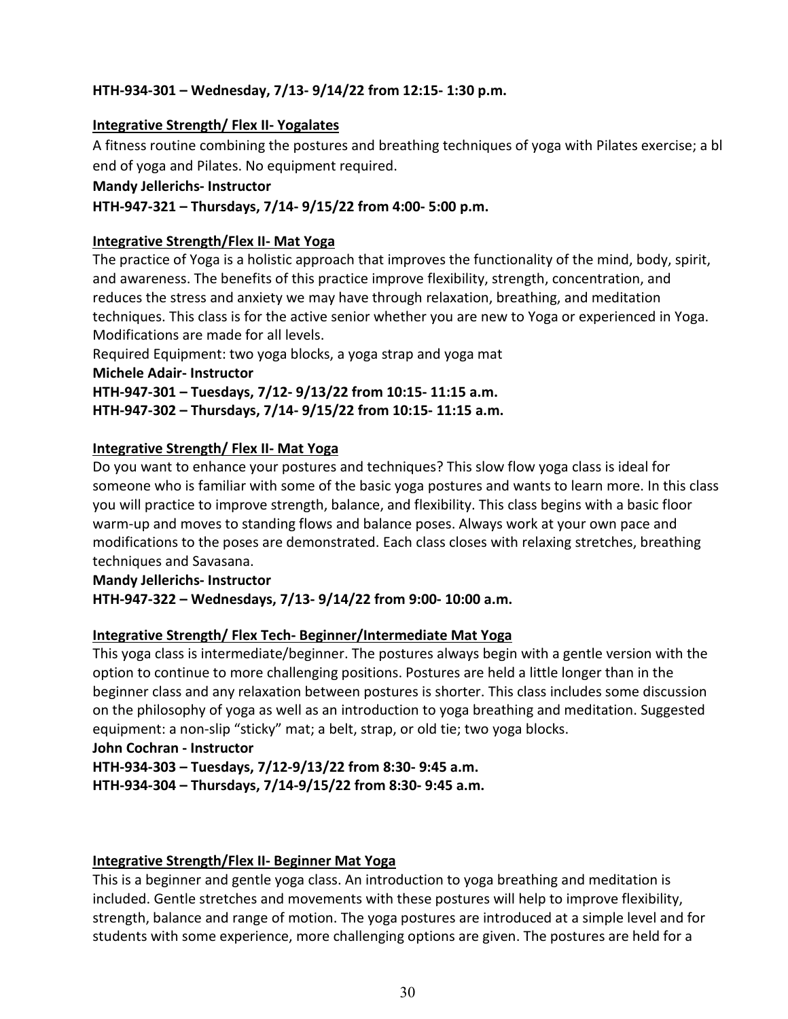# **HTH-934-301 – Wednesday, 7/13- 9/14/22 from 12:15- 1:30 p.m.**

#### **Integrative Strength/ Flex II- Yogalates**

A fitness routine combining the postures and breathing techniques of yoga with Pilates exercise; a bl end of yoga and Pilates. No equipment required.

#### **Mandy Jellerichs- Instructor**

#### **HTH-947-321 – Thursdays, 7/14- 9/15/22 from 4:00- 5:00 p.m.**

#### **Integrative Strength/Flex II- Mat Yoga**

The practice of Yoga is a holistic approach that improves the functionality of the mind, body, spirit, and awareness. The benefits of this practice improve flexibility, strength, concentration, and reduces the stress and anxiety we may have through relaxation, breathing, and meditation techniques. This class is for the active senior whether you are new to Yoga or experienced in Yoga. Modifications are made for all levels.

Required Equipment: two yoga blocks, a yoga strap and yoga mat

#### **Michele Adair- Instructor**

**HTH-947-301 – Tuesdays, 7/12- 9/13/22 from 10:15- 11:15 a.m.**

**HTH-947-302 – Thursdays, 7/14- 9/15/22 from 10:15- 11:15 a.m.**

# **Integrative Strength/ Flex II- Mat Yoga**

Do you want to enhance your postures and techniques? This slow flow yoga class is ideal for someone who is familiar with some of the basic yoga postures and wants to learn more. In this class you will practice to improve strength, balance, and flexibility. This class begins with a basic floor warm-up and moves to standing flows and balance poses. Always work at your own pace and modifications to the poses are demonstrated. Each class closes with relaxing stretches, breathing techniques and Savasana.

**Mandy Jellerichs- Instructor HTH-947-322 – Wednesdays, 7/13- 9/14/22 from 9:00- 10:00 a.m.** 

# **Integrative Strength/ Flex Tech- Beginner/Intermediate Mat Yoga**

This yoga class is intermediate/beginner. The postures always begin with a gentle version with the option to continue to more challenging positions. Postures are held a little longer than in the beginner class and any relaxation between postures is shorter. This class includes some discussion on the philosophy of yoga as well as an introduction to yoga breathing and meditation. Suggested equipment: a non-slip "sticky" mat; a belt, strap, or old tie; two yoga blocks.

#### **John Cochran - Instructor**

**HTH-934-303 – Tuesdays, 7/12-9/13/22 from 8:30- 9:45 a.m.** 

**HTH-934-304 – Thursdays, 7/14-9/15/22 from 8:30- 9:45 a.m.**

# **Integrative Strength/Flex II- Beginner Mat Yoga**

This is a beginner and gentle yoga class. An introduction to yoga breathing and meditation is included. Gentle stretches and movements with these postures will help to improve flexibility, strength, balance and range of motion. The yoga postures are introduced at a simple level and for students with some experience, more challenging options are given. The postures are held for a